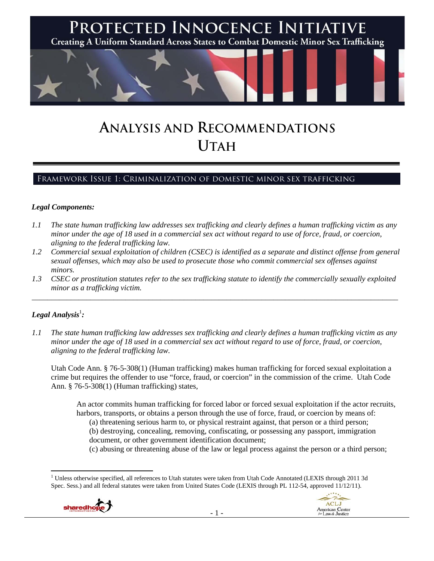

# **ANALYSIS AND RECOMMENDATIONS UTAH**

# Framework Issue 1: Criminalization of domestic minor sex trafficking

### *Legal Components:*

- *1.1 The state human trafficking law addresses sex trafficking and clearly defines a human trafficking victim as any minor under the age of 18 used in a commercial sex act without regard to use of force, fraud, or coercion, aligning to the federal trafficking law.*
- *1.2 Commercial sexual exploitation of children (CSEC) is identified as a separate and distinct offense from general sexual offenses, which may also be used to prosecute those who commit commercial sex offenses against minors.*
- *1.3 CSEC or prostitution statutes refer to the sex trafficking statute to identify the commercially sexually exploited minor as a trafficking victim.*  \_\_\_\_\_\_\_\_\_\_\_\_\_\_\_\_\_\_\_\_\_\_\_\_\_\_\_\_\_\_\_\_\_\_\_\_\_\_\_\_\_\_\_\_\_\_\_\_\_\_\_\_\_\_\_\_\_\_\_\_\_\_\_\_\_\_\_\_\_\_\_\_\_\_\_\_\_\_\_\_\_\_\_\_\_\_\_\_\_\_\_\_\_\_

## $\bm{\mathit{Legal\, Analysis^{\text{!}}:}}$

*1.1 The state human trafficking law addresses sex trafficking and clearly defines a human trafficking victim as any minor under the age of 18 used in a commercial sex act without regard to use of force, fraud, or coercion, aligning to the federal trafficking law.*

Utah Code Ann. § 76-5-308(1) (Human trafficking) makes human trafficking for forced sexual exploitation a crime but requires the offender to use "force, fraud, or coercion" in the commission of the crime. Utah Code Ann. § 76-5-308(1) (Human trafficking) states,

An actor commits human trafficking for forced labor or forced sexual exploitation if the actor recruits, harbors, transports, or obtains a person through the use of force, fraud, or coercion by means of:

(a) threatening serious harm to, or physical restraint against, that person or a third person;

(b) destroying, concealing, removing, confiscating, or possessing any passport, immigration document, or other government identification document;

(c) abusing or threatening abuse of the law or legal process against the person or a third person;

 <sup>1</sup> Unless otherwise specified, all references to Utah statutes were taken from Utah Code Annotated (LEXIS through 2011 3d Spec. Sess.) and all federal statutes were taken from United States Code (LEXIS through PL 112-54, approved 11/12/11).

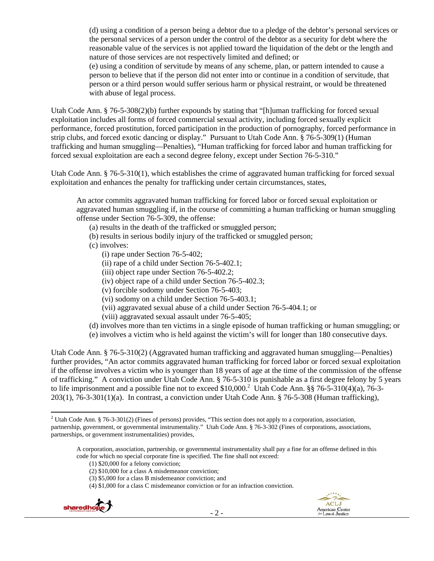(d) using a condition of a person being a debtor due to a pledge of the debtor's personal services or the personal services of a person under the control of the debtor as a security for debt where the reasonable value of the services is not applied toward the liquidation of the debt or the length and nature of those services are not respectively limited and defined; or

(e) using a condition of servitude by means of any scheme, plan, or pattern intended to cause a person to believe that if the person did not enter into or continue in a condition of servitude, that person or a third person would suffer serious harm or physical restraint, or would be threatened with abuse of legal process.

Utah Code Ann. § 76-5-308(2)(b) further expounds by stating that "[h]uman trafficking for forced sexual exploitation includes all forms of forced commercial sexual activity, including forced sexually explicit performance, forced prostitution, forced participation in the production of pornography, forced performance in strip clubs, and forced exotic dancing or display." Pursuant to Utah Code Ann. § 76-5-309(1) (Human trafficking and human smuggling—Penalties), "Human trafficking for forced labor and human trafficking for forced sexual exploitation are each a second degree felony, except under Section 76-5-310."

Utah Code Ann. § 76-5-310(1), which establishes the crime of aggravated human trafficking for forced sexual exploitation and enhances the penalty for trafficking under certain circumstances, states,

An actor commits aggravated human trafficking for forced labor or forced sexual exploitation or aggravated human smuggling if, in the course of committing a human trafficking or human smuggling offense under Section 76-5-309, the offense:

- (a) results in the death of the trafficked or smuggled person;
- (b) results in serious bodily injury of the trafficked or smuggled person;
- (c) involves:
	- (i) rape under Section 76-5-402;
	- (ii) rape of a child under Section 76-5-402.1;
	- (iii) object rape under Section 76-5-402.2;
	- (iv) object rape of a child under Section 76-5-402.3;
	- (v) forcible sodomy under Section 76-5-403;
	- (vi) sodomy on a child under Section 76-5-403.1;
	- (vii) aggravated sexual abuse of a child under Section 76-5-404.1; or
	- (viii) aggravated sexual assault under 76-5-405;
- (d) involves more than ten victims in a single episode of human trafficking or human smuggling; or
- (e) involves a victim who is held against the victim's will for longer than 180 consecutive days.

Utah Code Ann. § 76-5-310(2) (Aggravated human trafficking and aggravated human smuggling—Penalties) further provides, "An actor commits aggravated human trafficking for forced labor or forced sexual exploitation if the offense involves a victim who is younger than 18 years of age at the time of the commission of the offense of trafficking." A conviction under Utah Code Ann. § 76-5-310 is punishable as a first degree felony by 5 years to life imprisonment and a possible fine not to exceed \$10,000.<sup>2</sup> Utah Code Ann. §§ 76-5-310(4)(a), 76-3-203(1), 76-3-301(1)(a). In contrast, a conviction under Utah Code Ann. § 76-5-308 (Human trafficking),

<sup>(4) \$1,000</sup> for a class C misdemeanor conviction or for an infraction conviction.





 <sup>2</sup> Utah Code Ann. § 76-3-301(2) (Fines of persons) provides, "This section does not apply to a corporation, association, partnership, government, or governmental instrumentality." Utah Code Ann. § 76-3-302 (Fines of corporations, associations, partnerships, or government instrumentalities) provides,

A corporation, association, partnership, or governmental instrumentality shall pay a fine for an offense defined in this code for which no special corporate fine is specified. The fine shall not exceed:

<sup>(1) \$20,000</sup> for a felony conviction;

<sup>(2) \$10,000</sup> for a class A misdemeanor conviction;

<sup>(3) \$5,000</sup> for a class B misdemeanor conviction; and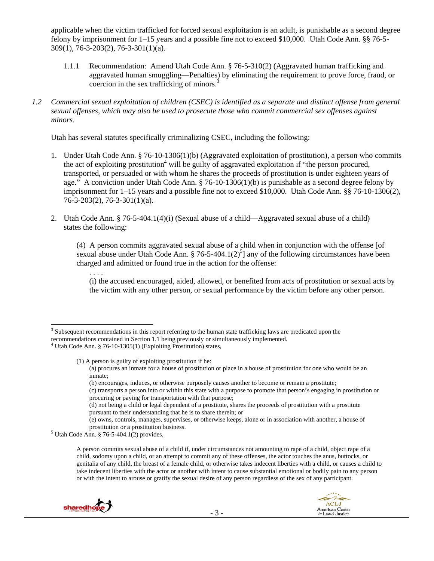applicable when the victim trafficked for forced sexual exploitation is an adult, is punishable as a second degree felony by imprisonment for 1–15 years and a possible fine not to exceed \$10,000. Utah Code Ann. §§ 76-5- 309(1), 76-3-203(2), 76-3-301(1)(a).

- 1.1.1 Recommendation: Amend Utah Code Ann. § 76-5-310(2) (Aggravated human trafficking and aggravated human smuggling—Penalties) by eliminating the requirement to prove force, fraud, or coercion in the sex trafficking of minors.<sup>3</sup>
- *1.2 Commercial sexual exploitation of children (CSEC) is identified as a separate and distinct offense from general sexual offenses, which may also be used to prosecute those who commit commercial sex offenses against minors.*

Utah has several statutes specifically criminalizing CSEC, including the following:

- 1. Under Utah Code Ann. § 76-10-1306(1)(b) (Aggravated exploitation of prostitution), a person who commits the act of exploiting prostitution<sup>4</sup> will be guilty of aggravated exploitation if "the person procured, transported, or persuaded or with whom he shares the proceeds of prostitution is under eighteen years of age." A conviction under Utah Code Ann. § 76-10-1306(1)(b) is punishable as a second degree felony by imprisonment for 1–15 years and a possible fine not to exceed \$10,000. Utah Code Ann. §§ 76-10-1306(2), 76-3-203(2), 76-3-301(1)(a).
- 2. Utah Code Ann. § 76-5-404.1(4)(i) (Sexual abuse of a child—Aggravated sexual abuse of a child) states the following:

(4) A person commits aggravated sexual abuse of a child when in conjunction with the offense [of sexual abuse under Utah Code Ann. § 76-5-404.1(2)<sup>5</sup>] any of the following circumstances have been charged and admitted or found true in the action for the offense:

(i) the accused encouraged, aided, allowed, or benefited from acts of prostitution or sexual acts by the victim with any other person, or sexual performance by the victim before any other person.

. . . .

A person commits sexual abuse of a child if, under circumstances not amounting to rape of a child, object rape of a child, sodomy upon a child, or an attempt to commit any of these offenses, the actor touches the anus, buttocks, or genitalia of any child, the breast of a female child, or otherwise takes indecent liberties with a child, or causes a child to take indecent liberties with the actor or another with intent to cause substantial emotional or bodily pain to any person or with the intent to arouse or gratify the sexual desire of any person regardless of the sex of any participant.





 <sup>3</sup> Subsequent recommendations in this report referring to the human state trafficking laws are predicated upon the

recommendations contained in Section 1.1 being previously or simultaneously implemented. 4

Utah Code Ann. § 76-10-1305(1) (Exploiting Prostitution) states,

<sup>(1)</sup> A person is guilty of exploiting prostitution if he:

<sup>(</sup>a) procures an inmate for a house of prostitution or place in a house of prostitution for one who would be an inmate;

<sup>(</sup>b) encourages, induces, or otherwise purposely causes another to become or remain a prostitute;

<sup>(</sup>c) transports a person into or within this state with a purpose to promote that person's engaging in prostitution or procuring or paying for transportation with that purpose;

<sup>(</sup>d) not being a child or legal dependent of a prostitute, shares the proceeds of prostitution with a prostitute pursuant to their understanding that he is to share therein; or

<sup>(</sup>e) owns, controls, manages, supervises, or otherwise keeps, alone or in association with another, a house of prostitution or a prostitution business. 5

 $5$  Utah Code Ann. § 76-5-404.1(2) provides,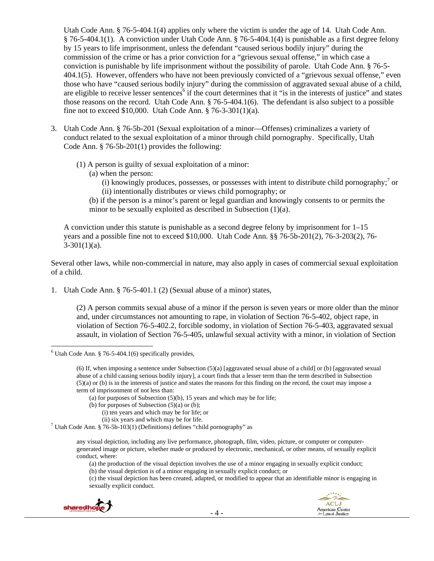Utah Code Ann. § 76-5-404.1(4) applies only where the victim is under the age of 14. Utah Code Ann. § 76-5-404.1(1). A conviction under Utah Code Ann. § 76-5-404.1(4) is punishable as a first degree felony by 15 years to life imprisonment, unless the defendant "caused serious bodily injury" during the commission of the crime or has a prior conviction for a "grievous sexual offense," in which case a conviction is punishable by life imprisonment without the possibility of parole. Utah Code Ann. § 76-5- 404.1(5). However, offenders who have not been previously convicted of a "grievous sexual offense," even those who have "caused serious bodily injury" during the commission of aggravated sexual abuse of a child, are eligible to receive lesser sentences<sup>6</sup> if the court determines that it "is in the interests of justice" and states those reasons on the record. Utah Code Ann. § 76-5-404.1(6). The defendant is also subject to a possible fine not to exceed \$10,000. Utah Code Ann. § 76-3-301(1)(a).

- 3. Utah Code Ann. § 76-5b-201 (Sexual exploitation of a minor—Offenses) criminalizes a variety of conduct related to the sexual exploitation of a minor through child pornography. Specifically, Utah Code Ann. § 76-5b-201(1) provides the following:
	- (1) A person is guilty of sexual exploitation of a minor:
		- (a) when the person:
			- $(i)$  knowingly produces, possesses, or possesses with intent to distribute child pornography;<sup>7</sup> or (ii) intentionally distributes or views child pornography; or
		- (b) if the person is a minor's parent or legal guardian and knowingly consents to or permits the minor to be sexually exploited as described in Subsection (1)(a).

A conviction under this statute is punishable as a second degree felony by imprisonment for  $1-15$ years and a possible fine not to exceed \$10,000. Utah Code Ann. §§ 76-5b-201(2), 76-3-203(2), 76-  $3-301(1)(a)$ .

Several other laws, while non-commercial in nature, may also apply in cases of commercial sexual exploitation of a child.

1. Utah Code Ann. § 76-5-401.1 (2) (Sexual abuse of a minor) states,

(2) A person commits sexual abuse of a minor if the person is seven years or more older than the minor and, under circumstances not amounting to rape, in violation of Section 76-5-402, object rape, in violation of Section 76-5-402.2, forcible sodomy, in violation of Section 76-5-403, aggravated sexual assault, in violation of Section 76-5-405, unlawful sexual activity with a minor, in violation of Section

(a) the production of the visual depiction involves the use of a minor engaging in sexually explicit conduct;

(b) the visual depiction is of a minor engaging in sexually explicit conduct; or

(c) the visual depiction has been created, adapted, or modified to appear that an identifiable minor is engaging in sexually explicit conduct.





  $6$  Utah Code Ann. § 76-5-404.1(6) specifically provides,

<sup>(6)</sup> If, when imposing a sentence under Subsection (5)(a) [aggravated sexual abuse of a child] or (b) [aggravated sexual abuse of a child causing serious bodily injury], a court finds that a lesser term than the term described in Subsection  $(5)(a)$  or (b) is in the interests of justice and states the reasons for this finding on the record, the court may impose a term of imprisonment of not less than:

<sup>(</sup>a) for purposes of Subsection (5)(b), 15 years and which may be for life;

<sup>(</sup>b) for purposes of Subsection  $(5)(a)$  or  $(b)$ ;

<sup>(</sup>i) ten years and which may be for life; or

<sup>(</sup>ii) six years and which may be for life.

<sup>&</sup>lt;sup>7</sup> Utah Code Ann. § 76-5b-103(1) (Definitions) defines "child pornography" as

any visual depiction, including any live performance, photograph, film, video, picture, or computer or computergenerated image or picture, whether made or produced by electronic, mechanical, or other means, of sexually explicit conduct, where: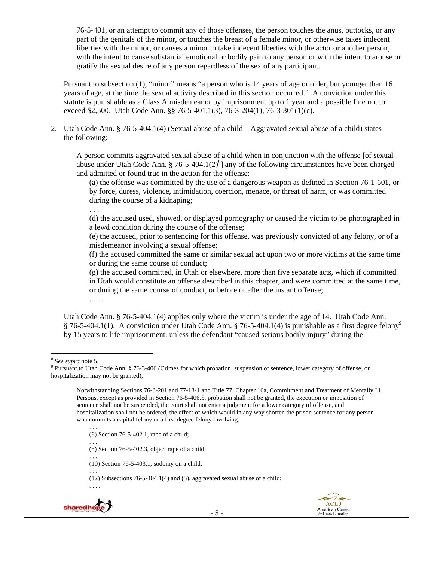76-5-401, or an attempt to commit any of those offenses, the person touches the anus, buttocks, or any part of the genitals of the minor, or touches the breast of a female minor, or otherwise takes indecent liberties with the minor, or causes a minor to take indecent liberties with the actor or another person, with the intent to cause substantial emotional or bodily pain to any person or with the intent to arouse or gratify the sexual desire of any person regardless of the sex of any participant.

Pursuant to subsection (1), "minor" means "a person who is 14 years of age or older, but younger than 16 years of age, at the time the sexual activity described in this section occurred." A conviction under this statute is punishable as a Class A misdemeanor by imprisonment up to 1 year and a possible fine not to exceed \$2,500. Utah Code Ann. §§ 76-5-401.1(3), 76-3-204(1), 76-3-301(1)(c).

2. Utah Code Ann. § 76-5-404.1(4) (Sexual abuse of a child—Aggravated sexual abuse of a child) states the following:

A person commits aggravated sexual abuse of a child when in conjunction with the offense [of sexual abuse under Utah Code Ann. § 76-5-404.1(2) $^{8}$ ] any of the following circumstances have been charged and admitted or found true in the action for the offense:

(a) the offense was committed by the use of a dangerous weapon as defined in Section 76-1-601, or by force, duress, violence, intimidation, coercion, menace, or threat of harm, or was committed during the course of a kidnaping;

. . .

(d) the accused used, showed, or displayed pornography or caused the victim to be photographed in a lewd condition during the course of the offense;

(e) the accused, prior to sentencing for this offense, was previously convicted of any felony, or of a misdemeanor involving a sexual offense;

(f) the accused committed the same or similar sexual act upon two or more victims at the same time or during the same course of conduct;

(g) the accused committed, in Utah or elsewhere, more than five separate acts, which if committed in Utah would constitute an offense described in this chapter, and were committed at the same time, or during the same course of conduct, or before or after the instant offense; . . . .

Utah Code Ann. § 76-5-404.1(4) applies only where the victim is under the age of 14. Utah Code Ann. § 76-5-404.1(1). A conviction under Utah Code Ann. § 76-5-404.1(4) is punishable as a first degree felony<sup>9</sup> by 15 years to life imprisonment, unless the defendant "caused serious bodily injury" during the

 <sup>8</sup> See supra note 5.<br><sup>9</sup> Pursuant to Utah (

. . . (6) Section 76-5-402.1, rape of a child;

(8) Section 76-5-402.3, object rape of a child;

(10) Section 76-5-403.1, sodomy on a child;

. . . (12) Subsections 76-5-404.1(4) and (5), aggravated sexual abuse of a child;



. . .

. . .





<sup>&</sup>lt;sup>9</sup> Pursuant to Utah Code Ann. § 76-3-406 (Crimes for which probation, suspension of sentence, lower category of offense, or hospitalization may not be granted),

Notwithstanding Sections 76-3-201 and 77-18-1 and Title 77, Chapter 16a, Commitment and Treatment of Mentally Ill Persons, except as provided in Section 76-5-406.5, probation shall not be granted, the execution or imposition of sentence shall not be suspended, the court shall not enter a judgment for a lower category of offense, and hospitalization shall not be ordered, the effect of which would in any way shorten the prison sentence for any person who commits a capital felony or a first degree felony involving: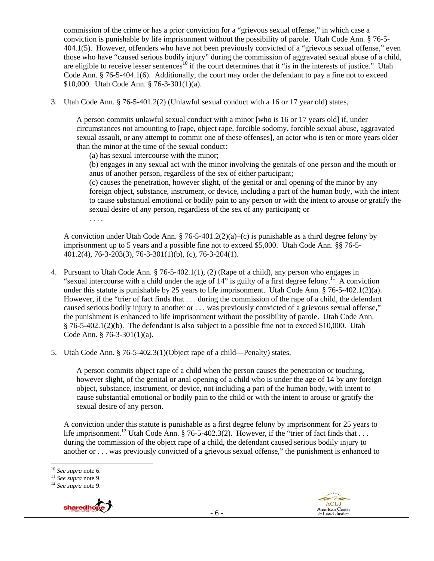commission of the crime or has a prior conviction for a "grievous sexual offense," in which case a conviction is punishable by life imprisonment without the possibility of parole. Utah Code Ann. § 76-5- 404.1(5). However, offenders who have not been previously convicted of a "grievous sexual offense," even those who have "caused serious bodily injury" during the commission of aggravated sexual abuse of a child, are eligible to receive lesser sentences<sup>10</sup> if the court determines that it "is in the interests of justice." Utah Code Ann. § 76-5-404.1(6). Additionally, the court may order the defendant to pay a fine not to exceed \$10,000. Utah Code Ann. § 76-3-301(1)(a).

3. Utah Code Ann. § 76-5-401.2(2) (Unlawful sexual conduct with a 16 or 17 year old) states,

A person commits unlawful sexual conduct with a minor [who is 16 or 17 years old] if, under circumstances not amounting to [rape, object rape, forcible sodomy, forcible sexual abuse, aggravated sexual assault, or any attempt to commit one of these offenses], an actor who is ten or more years older than the minor at the time of the sexual conduct:

(a) has sexual intercourse with the minor;

(b) engages in any sexual act with the minor involving the genitals of one person and the mouth or anus of another person, regardless of the sex of either participant;

(c) causes the penetration, however slight, of the genital or anal opening of the minor by any foreign object, substance, instrument, or device, including a part of the human body, with the intent to cause substantial emotional or bodily pain to any person or with the intent to arouse or gratify the sexual desire of any person, regardless of the sex of any participant; or

. . . .

A conviction under Utah Code Ann.  $\S 76-5-401.2(2)(a)$ –(c) is punishable as a third degree felony by imprisonment up to 5 years and a possible fine not to exceed \$5,000. Utah Code Ann. §§ 76-5- 401.2(4), 76-3-203(3), 76-3-301(1)(b), (c), 76-3-204(1).

- 4. Pursuant to Utah Code Ann. § 76-5-402.1(1), (2) (Rape of a child), any person who engages in "sexual intercourse with a child under the age of  $14$ " is guilty of a first degree felony.<sup>11</sup> A conviction under this statute is punishable by 25 years to life imprisonment. Utah Code Ann. § 76-5-402.1(2)(a). However, if the "trier of fact finds that . . . during the commission of the rape of a child, the defendant caused serious bodily injury to another or . . . was previously convicted of a grievous sexual offense," the punishment is enhanced to life imprisonment without the possibility of parole. Utah Code Ann. § 76-5-402.1(2)(b). The defendant is also subject to a possible fine not to exceed \$10,000. Utah Code Ann. § 76-3-301(1)(a).
- 5. Utah Code Ann. § 76-5-402.3(1)(Object rape of a child—Penalty) states,

A person commits object rape of a child when the person causes the penetration or touching, however slight, of the genital or anal opening of a child who is under the age of 14 by any foreign object, substance, instrument, or device, not including a part of the human body, with intent to cause substantial emotional or bodily pain to the child or with the intent to arouse or gratify the sexual desire of any person.

A conviction under this statute is punishable as a first degree felony by imprisonment for 25 years to life imprisonment.<sup>12</sup> Utah Code Ann. § 76-5-402.3(2). However, if the "trier of fact finds that ... during the commission of the object rape of a child, the defendant caused serious bodily injury to another or . . . was previously convicted of a grievous sexual offense," the punishment is enhanced to

<sup>10</sup> *See supra* note 6. 11 *See supra* note 9. 12 *See supra* note 9.



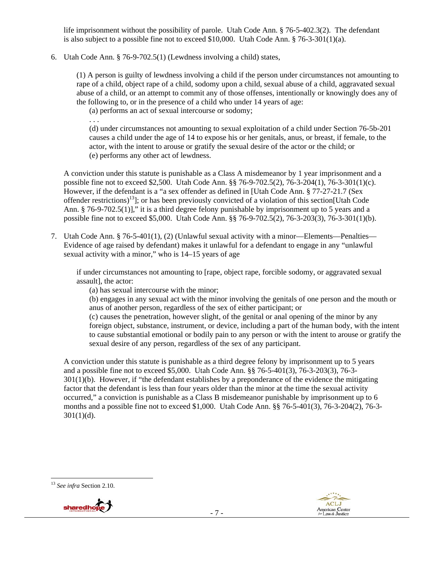life imprisonment without the possibility of parole. Utah Code Ann. § 76-5-402.3(2). The defendant is also subject to a possible fine not to exceed \$10,000. Utah Code Ann. § 76-3-301(1)(a).

6. Utah Code Ann. § 76-9-702.5(1) (Lewdness involving a child) states,

(1) A person is guilty of lewdness involving a child if the person under circumstances not amounting to rape of a child, object rape of a child, sodomy upon a child, sexual abuse of a child, aggravated sexual abuse of a child, or an attempt to commit any of those offenses, intentionally or knowingly does any of the following to, or in the presence of a child who under 14 years of age:

(a) performs an act of sexual intercourse or sodomy;

. . .

(d) under circumstances not amounting to sexual exploitation of a child under Section 76-5b-201 causes a child under the age of 14 to expose his or her genitals, anus, or breast, if female, to the actor, with the intent to arouse or gratify the sexual desire of the actor or the child; or (e) performs any other act of lewdness.

A conviction under this statute is punishable as a Class A misdemeanor by 1 year imprisonment and a possible fine not to exceed \$2,500. Utah Code Ann. §§ 76-9-702.5(2), 76-3-204(1), 76-3-301(1)(c). However, if the defendant is a "a sex offender as defined in [Utah Code Ann. § 77-27-21.7 (Sex offender restrictions)13]; or has been previously convicted of a violation of this section[Utah Code Ann. § 76-9-702.5(1)]," it is a third degree felony punishable by imprisonment up to 5 years and a possible fine not to exceed \$5,000. Utah Code Ann. §§ 76-9-702.5(2), 76-3-203(3), 76-3-301(1)(b).

7. Utah Code Ann. § 76-5-401(1), (2) (Unlawful sexual activity with a minor—Elements—Penalties— Evidence of age raised by defendant) makes it unlawful for a defendant to engage in any "unlawful sexual activity with a minor," who is 14–15 years of age

if under circumstances not amounting to [rape, object rape, forcible sodomy, or aggravated sexual assault], the actor:

(a) has sexual intercourse with the minor;

(b) engages in any sexual act with the minor involving the genitals of one person and the mouth or anus of another person, regardless of the sex of either participant; or

(c) causes the penetration, however slight, of the genital or anal opening of the minor by any foreign object, substance, instrument, or device, including a part of the human body, with the intent to cause substantial emotional or bodily pain to any person or with the intent to arouse or gratify the sexual desire of any person, regardless of the sex of any participant.

A conviction under this statute is punishable as a third degree felony by imprisonment up to 5 years and a possible fine not to exceed \$5,000. Utah Code Ann. §§ 76-5-401(3), 76-3-203(3), 76-3- 301(1)(b). However, if "the defendant establishes by a preponderance of the evidence the mitigating factor that the defendant is less than four years older than the minor at the time the sexual activity occurred," a conviction is punishable as a Class B misdemeanor punishable by imprisonment up to 6 months and a possible fine not to exceed \$1,000. Utah Code Ann. §§ 76-5-401(3), 76-3-204(2), 76-3-  $301(1)(d)$ .

 <sup>13</sup> *See infra* Section 2.10.



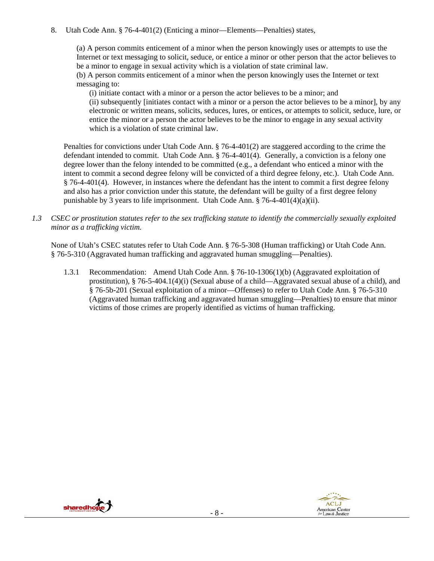## 8. Utah Code Ann. § 76-4-401(2) (Enticing a minor—Elements—Penalties) states,

(a) A person commits enticement of a minor when the person knowingly uses or attempts to use the Internet or text messaging to solicit, seduce, or entice a minor or other person that the actor believes to be a minor to engage in sexual activity which is a violation of state criminal law.

(b) A person commits enticement of a minor when the person knowingly uses the Internet or text messaging to:

(i) initiate contact with a minor or a person the actor believes to be a minor; and (ii) subsequently [initiates contact with a minor or a person the actor believes to be a minor], by any electronic or written means, solicits, seduces, lures, or entices, or attempts to solicit, seduce, lure, or entice the minor or a person the actor believes to be the minor to engage in any sexual activity which is a violation of state criminal law.

Penalties for convictions under Utah Code Ann. § 76-4-401(2) are staggered according to the crime the defendant intended to commit. Utah Code Ann. § 76-4-401(4). Generally, a conviction is a felony one degree lower than the felony intended to be committed (e.g., a defendant who enticed a minor with the intent to commit a second degree felony will be convicted of a third degree felony, etc.). Utah Code Ann. § 76-4-401(4). However, in instances where the defendant has the intent to commit a first degree felony and also has a prior conviction under this statute, the defendant will be guilty of a first degree felony punishable by 3 years to life imprisonment. Utah Code Ann. § 76-4-401(4)(a)(ii).

*1.3 CSEC or prostitution statutes refer to the sex trafficking statute to identify the commercially sexually exploited minor as a trafficking victim.* 

None of Utah's CSEC statutes refer to Utah Code Ann. § 76-5-308 (Human trafficking) or Utah Code Ann. § 76-5-310 (Aggravated human trafficking and aggravated human smuggling—Penalties).

1.3.1 Recommendation: Amend Utah Code Ann. § 76-10-1306(1)(b) (Aggravated exploitation of prostitution), § 76-5-404.1(4)(i) (Sexual abuse of a child—Aggravated sexual abuse of a child), and § 76-5b-201 (Sexual exploitation of a minor—Offenses) to refer to Utah Code Ann. § 76-5-310 (Aggravated human trafficking and aggravated human smuggling—Penalties) to ensure that minor victims of those crimes are properly identified as victims of human trafficking.



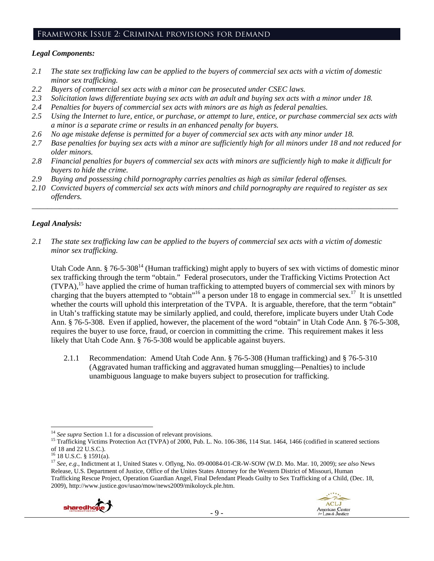#### Framework Issue 2: Criminal provisions for demand

#### *Legal Components:*

- *2.1 The state sex trafficking law can be applied to the buyers of commercial sex acts with a victim of domestic minor sex trafficking.*
- *2.2 Buyers of commercial sex acts with a minor can be prosecuted under CSEC laws.*
- *2.3 Solicitation laws differentiate buying sex acts with an adult and buying sex acts with a minor under 18.*
- *2.4 Penalties for buyers of commercial sex acts with minors are as high as federal penalties.*
- *2.5 Using the Internet to lure, entice, or purchase, or attempt to lure, entice, or purchase commercial sex acts with a minor is a separate crime or results in an enhanced penalty for buyers.*
- *2.6 No age mistake defense is permitted for a buyer of commercial sex acts with any minor under 18.*
- 2.7 Base penalties for buying sex acts with a minor are sufficiently high for all minors under 18 and not reduced for *older minors.*
- *2.8 Financial penalties for buyers of commercial sex acts with minors are sufficiently high to make it difficult for buyers to hide the crime.*
- *2.9 Buying and possessing child pornography carries penalties as high as similar federal offenses.*
- *2.10 Convicted buyers of commercial sex acts with minors and child pornography are required to register as sex offenders.*

\_\_\_\_\_\_\_\_\_\_\_\_\_\_\_\_\_\_\_\_\_\_\_\_\_\_\_\_\_\_\_\_\_\_\_\_\_\_\_\_\_\_\_\_\_\_\_\_\_\_\_\_\_\_\_\_\_\_\_\_\_\_\_\_\_\_\_\_\_\_\_\_\_\_\_\_\_\_\_\_\_\_\_\_\_\_\_\_\_\_\_\_\_\_

# *Legal Analysis:*

*2.1 The state sex trafficking law can be applied to the buyers of commercial sex acts with a victim of domestic minor sex trafficking.*

Utah Code Ann. § 76-5-308<sup>14</sup> (Human trafficking) might apply to buyers of sex with victims of domestic minor sex trafficking through the term "obtain." Federal prosecutors, under the Trafficking Victims Protection Act (TVPA),15 have applied the crime of human trafficking to attempted buyers of commercial sex with minors by charging that the buyers attempted to "obtain"<sup>16</sup> a person under 18 to engage in commercial sex.<sup>17</sup> It is unsettled whether the courts will uphold this interpretation of the TVPA. It is arguable, therefore, that the term "obtain" in Utah's trafficking statute may be similarly applied, and could, therefore, implicate buyers under Utah Code Ann. § 76-5-308. Even if applied, however, the placement of the word "obtain" in Utah Code Ann. § 76-5-308, requires the buyer to use force, fraud, or coercion in committing the crime. This requirement makes it less likely that Utah Code Ann. § 76-5-308 would be applicable against buyers.

2.1.1 Recommendation: Amend Utah Code Ann. § 76-5-308 (Human trafficking) and § 76-5-310 (Aggravated human trafficking and aggravated human smuggling—Penalties) to include unambiguous language to make buyers subject to prosecution for trafficking.

<sup>17</sup> *See, e.g*., Indictment at 1, United States v. Oflyng, No. 09-00084-01-CR-W-SOW (W.D. Mo. Mar. 10, 2009); *see also* News Release, U.S. Department of Justice, Office of the Unites States Attorney for the Western District of Missouri, Human Trafficking Rescue Project, Operation Guardian Angel, Final Defendant Pleads Guilty to Sex Trafficking of a Child, (Dec. 18, 2009), http://www.justice.gov/usao/mow/news2009/mikoloyck.ple.htm.



 $14$  See supra Section 1.1 for a discussion of relevant provisions.

<sup>&</sup>lt;sup>15</sup> Trafficking Victims Protection Act (TVPA) of 2000, Pub. L. No. 106-386, 114 Stat. 1464, 1466 (codified in scattered sections of 18 and 22 U.S.C.).

<sup>16 18</sup> U.S.C. § 1591(a).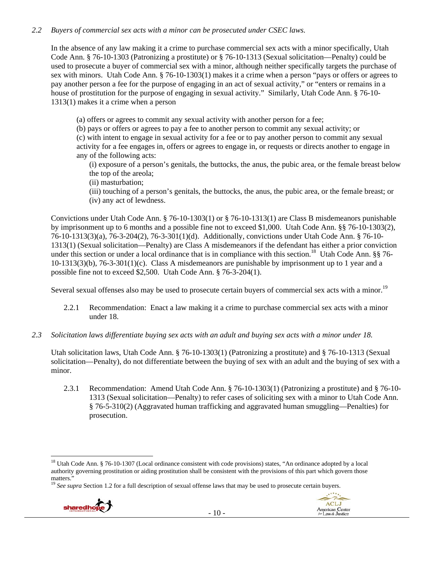## *2.2 Buyers of commercial sex acts with a minor can be prosecuted under CSEC laws.*

In the absence of any law making it a crime to purchase commercial sex acts with a minor specifically, Utah Code Ann. § 76-10-1303 (Patronizing a prostitute) or § 76-10-1313 (Sexual solicitation—Penalty) could be used to prosecute a buyer of commercial sex with a minor, although neither specifically targets the purchase of sex with minors. Utah Code Ann. § 76-10-1303(1) makes it a crime when a person "pays or offers or agrees to pay another person a fee for the purpose of engaging in an act of sexual activity," or "enters or remains in a house of prostitution for the purpose of engaging in sexual activity." Similarly, Utah Code Ann. § 76-10- 1313(1) makes it a crime when a person

(a) offers or agrees to commit any sexual activity with another person for a fee;

(b) pays or offers or agrees to pay a fee to another person to commit any sexual activity; or

(c) with intent to engage in sexual activity for a fee or to pay another person to commit any sexual activity for a fee engages in, offers or agrees to engage in, or requests or directs another to engage in any of the following acts:

(i) exposure of a person's genitals, the buttocks, the anus, the pubic area, or the female breast below the top of the areola;

(ii) masturbation;

(iii) touching of a person's genitals, the buttocks, the anus, the pubic area, or the female breast; or (iv) any act of lewdness.

Convictions under Utah Code Ann. § 76-10-1303(1) or § 76-10-1313(1) are Class B misdemeanors punishable by imprisonment up to 6 months and a possible fine not to exceed \$1,000. Utah Code Ann. §§ 76-10-1303(2), 76-10-1313(3)(a), 76-3-204(2), 76-3-301(1)(d). Additionally, convictions under Utah Code Ann. § 76-10- 1313(1) (Sexual solicitation—Penalty) are Class A misdemeanors if the defendant has either a prior conviction under this section or under a local ordinance that is in compliance with this section.<sup>18</sup> Utah Code Ann. §§ 76-10-1313(3)(b), 76-3-301(1)(c). Class A misdemeanors are punishable by imprisonment up to 1 year and a possible fine not to exceed \$2,500. Utah Code Ann. § 76-3-204(1).

Several sexual offenses also may be used to prosecute certain buyers of commercial sex acts with a minor.<sup>19</sup>

- 2.2.1 Recommendation: Enact a law making it a crime to purchase commercial sex acts with a minor under 18.
- *2.3 Solicitation laws differentiate buying sex acts with an adult and buying sex acts with a minor under 18.*

Utah solicitation laws, Utah Code Ann. § 76-10-1303(1) (Patronizing a prostitute) and § 76-10-1313 (Sexual solicitation—Penalty), do not differentiate between the buying of sex with an adult and the buying of sex with a minor.

2.3.1 Recommendation: Amend Utah Code Ann. § 76-10-1303(1) (Patronizing a prostitute) and § 76-10- 1313 (Sexual solicitation—Penalty) to refer cases of soliciting sex with a minor to Utah Code Ann. § 76-5-310(2) (Aggravated human trafficking and aggravated human smuggling—Penalties) for prosecution.

<sup>&</sup>lt;sup>19</sup> See supra Section 1.2 for a full description of sexual offense laws that may be used to prosecute certain buyers.





<sup>&</sup>lt;sup>18</sup> Utah Code Ann. § 76-10-1307 (Local ordinance consistent with code provisions) states, "An ordinance adopted by a local authority governing prostitution or aiding prostitution shall be consistent with the provisions of this part which govern those matters."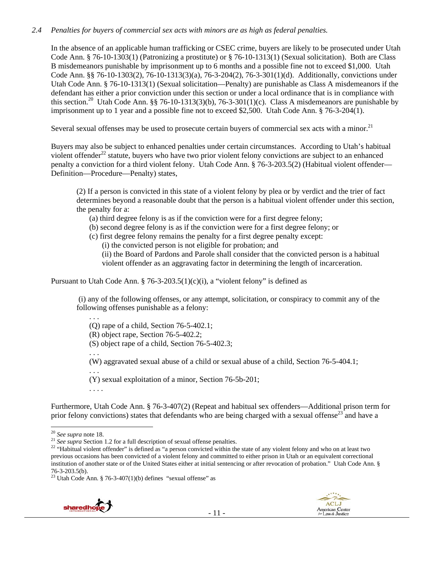### *2.4 Penalties for buyers of commercial sex acts with minors are as high as federal penalties.*

In the absence of an applicable human trafficking or CSEC crime, buyers are likely to be prosecuted under Utah Code Ann. § 76-10-1303(1) (Patronizing a prostitute) or § 76-10-1313(1) (Sexual solicitation). Both are Class B misdemeanors punishable by imprisonment up to 6 months and a possible fine not to exceed \$1,000. Utah Code Ann. §§ 76-10-1303(2), 76-10-1313(3)(a), 76-3-204(2), 76-3-301(1)(d). Additionally, convictions under Utah Code Ann. § 76-10-1313(1) (Sexual solicitation—Penalty) are punishable as Class A misdemeanors if the defendant has either a prior conviction under this section or under a local ordinance that is in compliance with this section.<sup>20</sup> Utah Code Ann. §§ 76-10-1313(3)(b), 76-3-301(1)(c). Class A misdemeanors are punishable by imprisonment up to 1 year and a possible fine not to exceed \$2,500. Utah Code Ann. § 76-3-204(1).

Several sexual offenses may be used to prosecute certain buyers of commercial sex acts with a minor.<sup>21</sup>

Buyers may also be subject to enhanced penalties under certain circumstances. According to Utah's habitual violent offender<sup>22</sup> statute, buyers who have two prior violent felony convictions are subject to an enhanced penalty a conviction for a third violent felony. Utah Code Ann. § 76-3-203.5(2) (Habitual violent offender— Definition—Procedure—Penalty) states,

(2) If a person is convicted in this state of a violent felony by plea or by verdict and the trier of fact determines beyond a reasonable doubt that the person is a habitual violent offender under this section, the penalty for a:

(a) third degree felony is as if the conviction were for a first degree felony;

- (b) second degree felony is as if the conviction were for a first degree felony; or
- (c) first degree felony remains the penalty for a first degree penalty except:

(i) the convicted person is not eligible for probation; and

(ii) the Board of Pardons and Parole shall consider that the convicted person is a habitual

violent offender as an aggravating factor in determining the length of incarceration.

Pursuant to Utah Code Ann. § 76-3-203.5(1)(c)(i), a "violent felony" is defined as

 (i) any of the following offenses, or any attempt, solicitation, or conspiracy to commit any of the following offenses punishable as a felony:

(Q) rape of a child, Section 76-5-402.1; (R) object rape, Section 76-5-402.2; (S) object rape of a child, Section 76-5-402.3; . . . (W) aggravated sexual abuse of a child or sexual abuse of a child, Section 76-5-404.1; . . . (Y) sexual exploitation of a minor, Section 76-5b-201; . . . .

Furthermore, Utah Code Ann. § 76-3-407(2) (Repeat and habitual sex offenders—Additional prison term for prior felony convictions) states that defendants who are being charged with a sexual offense<sup>23</sup> and have a

. . .

 $23$  Utah Code Ann. § 76-3-407(1)(b) defines "sexual offense" as





 $20$  See supra note 18.

to the supplement of the section 1.2 for a full description of sexual offense penalties.<br>
<sup>21</sup> See supper Section 1.2 for a full description of sexual offense penalties.<br>
<sup>22</sup> "Habitual violent offender" is defined as "a previous occasions has been convicted of a violent felony and committed to either prison in Utah or an equivalent correctional institution of another state or of the United States either at initial sentencing or after revocation of probation." Utah Code Ann. § 76-3-203.5(b).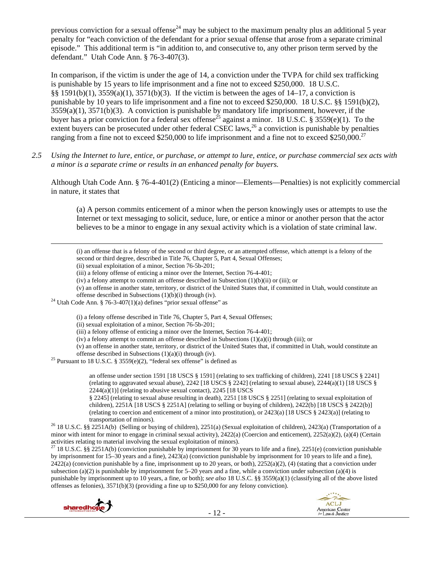previous conviction for a sexual offense<sup>24</sup> may be subject to the maximum penalty plus an additional 5 year penalty for "each conviction of the defendant for a prior sexual offense that arose from a separate criminal episode." This additional term is "in addition to, and consecutive to, any other prison term served by the defendant." Utah Code Ann. § 76-3-407(3).

In comparison, if the victim is under the age of 14, a conviction under the TVPA for child sex trafficking is punishable by 15 years to life imprisonment and a fine not to exceed \$250,000. 18 U.S.C. §§ 1591(b)(1), 3559(a)(1), 3571(b)(3). If the victim is between the ages of 14–17, a conviction is punishable by 10 years to life imprisonment and a fine not to exceed \$250,000. 18 U.S.C. §§ 1591(b)(2),  $3559(a)(1)$ ,  $3571(b)(3)$ . A conviction is punishable by mandatory life imprisonment, however, if the buyer has a prior conviction for a federal sex offense<sup>25</sup> against a minor. 18 U.S.C. § 3559(e)(1). To the extent buyers can be prosecuted under other federal CSEC laws,<sup>26</sup> a conviction is punishable by penalties ranging from a fine not to exceed \$250,000 to life imprisonment and a fine not to exceed \$250,000.<sup>27</sup>

*2.5 Using the Internet to lure, entice, or purchase, or attempt to lure, entice, or purchase commercial sex acts with a minor is a separate crime or results in an enhanced penalty for buyers.* 

Although Utah Code Ann. § 76-4-401(2) (Enticing a minor—Elements—Penalties) is not explicitly commercial in nature, it states that

(a) A person commits enticement of a minor when the person knowingly uses or attempts to use the Internet or text messaging to solicit, seduce, lure, or entice a minor or another person that the actor believes to be a minor to engage in any sexual activity which is a violation of state criminal law.

(i) an offense that is a felony of the second or third degree, or an attempted offense, which attempt is a felony of the second or third degree, described in Title 76, Chapter 5, Part 4, Sexual Offenses;

<u> Andrewski politika (za obrazu pod predsjednika u predsjednika u predsjednika u predsjednika (za obrazu pod p</u>

(iii) a felony offense of enticing a minor over the Internet, Section 76-4-401;

(iv) a felony attempt to commit an offense described in Subsection  $(1)(b)(ii)$  or (iii); or

(v) an offense in another state, territory, or district of the United States that, if committed in Utah, would constitute an

offense described in Subsections (1)(b)(i) through (iv). <sup>24</sup> Utah Code Ann. § 76-3-407(1)(a) defines "prior sexual offense" as

(i) a felony offense described in Title 76, Chapter 5, Part 4, Sexual Offenses;

(ii) sexual exploitation of a minor, Section 76-5b-201;

(iii) a felony offense of enticing a minor over the Internet, Section 76-4-401;

(iv) a felony attempt to commit an offense described in Subsections  $(1)(a)(i)$  through (iii); or

(v) an offense in another state, territory, or district of the United States that, if committed in Utah, would constitute an offense described in Subsections  $(1)(a)(i)$  through  $(iv)$ .

<sup>25</sup> Pursuant to 18 U.S.C. § 3559(e)(2), "federal sex offense" is defined as

an offense under section 1591 [18 USCS § 1591] (relating to sex trafficking of children), 2241 [18 USCS § 2241] (relating to aggravated sexual abuse),  $2242$  [18 USCS § 2242] (relating to sexual abuse),  $2244(a)(1)$  [18 USCS §  $2244(a)(1)$ ] (relating to abusive sexual contact),  $2245$  [18 USCS]

§ 2245] (relating to sexual abuse resulting in death), 2251 [18 USCS § 2251] (relating to sexual exploitation of children), 2251A [18 USCS § 2251A] (relating to selling or buying of children), 2422(b) [18 USCS § 2422(b)] (relating to coercion and enticement of a minor into prostitution), or 2423(a) [18 USCS § 2423(a)] (relating to

transportation of minors). 26 18 U.S.C. §§ 2251A(b) (Selling or buying of children), 2251(a) (Sexual exploitation of children), 2423(a) (Transportation of a minor with intent for minor to engage in criminal sexual activity), 2422(a) (Coercion and enticement), 2252(a)(2), (a)(4) (Certain activities relating to material involving the sexual exploitation of minors).

<sup>27</sup> 18 U.S.C. §§ 2251A(b) (conviction punishable by imprisonment for 30 years to life and a fine), 2251(e) (conviction punishable by imprisonment for 15–30 years and a fine), 2423(a) (conviction punishable by imprisonment for 10 years to life and a fine),  $2422(a)$  (conviction punishable by a fine, imprisonment up to 20 years, or both),  $2252(a)(2)$ , (4) (stating that a conviction under subsection (a)(2) is punishable by imprisonment for  $5-20$  years and a fine, while a conviction under subsection (a)(4) is punishable by imprisonment up to 10 years, a fine, or both); *see also* 18 U.S.C. §§ 3559(a)(1) (classifying all of the above listed offenses as felonies), 3571(b)(3) (providing a fine up to \$250,000 for any felony conviction).





<sup>(</sup>ii) sexual exploitation of a minor, Section 76-5b-201;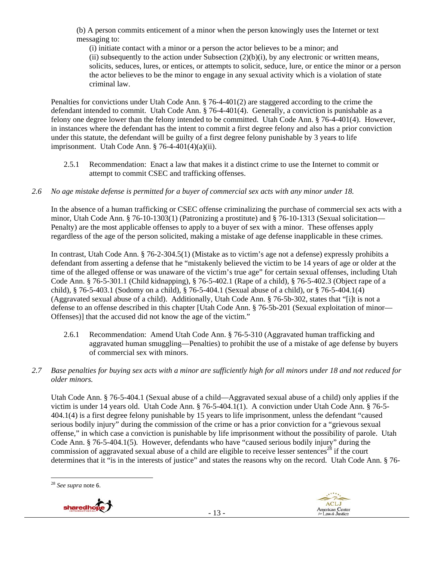(b) A person commits enticement of a minor when the person knowingly uses the Internet or text messaging to:

(i) initiate contact with a minor or a person the actor believes to be a minor; and (ii) subsequently to the action under Subsection  $(2)(b)(i)$ , by any electronic or written means, solicits, seduces, lures, or entices, or attempts to solicit, seduce, lure, or entice the minor or a person the actor believes to be the minor to engage in any sexual activity which is a violation of state criminal law.

Penalties for convictions under Utah Code Ann. § 76-4-401(2) are staggered according to the crime the defendant intended to commit. Utah Code Ann. § 76-4-401(4). Generally, a conviction is punishable as a felony one degree lower than the felony intended to be committed. Utah Code Ann. § 76-4-401(4). However, in instances where the defendant has the intent to commit a first degree felony and also has a prior conviction under this statute, the defendant will be guilty of a first degree felony punishable by 3 years to life imprisonment. Utah Code Ann.  $\S$  76-4-401(4)(a)(ii).

2.5.1 Recommendation: Enact a law that makes it a distinct crime to use the Internet to commit or attempt to commit CSEC and trafficking offenses.

### *2.6 No age mistake defense is permitted for a buyer of commercial sex acts with any minor under 18.*

In the absence of a human trafficking or CSEC offense criminalizing the purchase of commercial sex acts with a minor, Utah Code Ann. § 76-10-1303(1) (Patronizing a prostitute) and § 76-10-1313 (Sexual solicitation— Penalty) are the most applicable offenses to apply to a buyer of sex with a minor. These offenses apply regardless of the age of the person solicited, making a mistake of age defense inapplicable in these crimes.

In contrast, Utah Code Ann. § 76-2-304.5(1) (Mistake as to victim's age not a defense) expressly prohibits a defendant from asserting a defense that he "mistakenly believed the victim to be 14 years of age or older at the time of the alleged offense or was unaware of the victim's true age" for certain sexual offenses, including Utah Code Ann. § 76-5-301.1 (Child kidnapping), § 76-5-402.1 (Rape of a child), § 76-5-402.3 (Object rape of a child), § 76-5-403.1 (Sodomy on a child), § 76-5-404.1 (Sexual abuse of a child), or § 76-5-404.1(4) (Aggravated sexual abuse of a child). Additionally, Utah Code Ann. § 76-5b-302, states that "[i]t is not a defense to an offense described in this chapter [Utah Code Ann. § 76-5b-201 (Sexual exploitation of minor— Offenses)] that the accused did not know the age of the victim."

- 2.6.1 Recommendation: Amend Utah Code Ann. § 76-5-310 (Aggravated human trafficking and aggravated human smuggling—Penalties) to prohibit the use of a mistake of age defense by buyers of commercial sex with minors.
- *2.7 Base penalties for buying sex acts with a minor are sufficiently high for all minors under 18 and not reduced for older minors.*

Utah Code Ann. § 76-5-404.1 (Sexual abuse of a child—Aggravated sexual abuse of a child) only applies if the victim is under 14 years old. Utah Code Ann. § 76-5-404.1(1). A conviction under Utah Code Ann. § 76-5- 404.1(4) is a first degree felony punishable by 15 years to life imprisonment, unless the defendant "caused serious bodily injury" during the commission of the crime or has a prior conviction for a "grievous sexual offense," in which case a conviction is punishable by life imprisonment without the possibility of parole. Utah Code Ann. § 76-5-404.1(5). However, defendants who have "caused serious bodily injury" during the commission of aggravated sexual abuse of a child are eligible to receive lesser sentences<sup>28</sup> if the court determines that it "is in the interests of justice" and states the reasons why on the record. Utah Code Ann. § 76-

<sup>28</sup> *See supra* note 6.

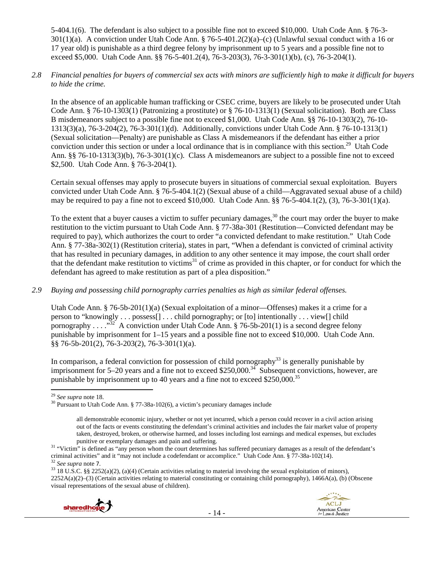5-404.1(6). The defendant is also subject to a possible fine not to exceed \$10,000. Utah Code Ann. § 76-3- 301(1)(a). A conviction under Utah Code Ann. § 76-5-401.2(2)(a)–(c) (Unlawful sexual conduct with a 16 or 17 year old) is punishable as a third degree felony by imprisonment up to 5 years and a possible fine not to exceed \$5,000. Utah Code Ann. §§ 76-5-401.2(4), 76-3-203(3), 76-3-301(1)(b), (c), 76-3-204(1).

#### *2.8 Financial penalties for buyers of commercial sex acts with minors are sufficiently high to make it difficult for buyers to hide the crime.*

In the absence of an applicable human trafficking or CSEC crime, buyers are likely to be prosecuted under Utah Code Ann. § 76-10-1303(1) (Patronizing a prostitute) or § 76-10-1313(1) (Sexual solicitation). Both are Class B misdemeanors subject to a possible fine not to exceed \$1,000. Utah Code Ann. §§ 76-10-1303(2), 76-10- 1313(3)(a), 76-3-204(2), 76-3-301(1)(d). Additionally, convictions under Utah Code Ann. § 76-10-1313(1) (Sexual solicitation—Penalty) are punishable as Class A misdemeanors if the defendant has either a prior conviction under this section or under a local ordinance that is in compliance with this section.<sup>29</sup> Utah Code Ann. §§ 76-10-1313(3)(b), 76-3-301(1)(c). Class A misdemeanors are subject to a possible fine not to exceed \$2,500. Utah Code Ann. § 76-3-204(1).

Certain sexual offenses may apply to prosecute buyers in situations of commercial sexual exploitation. Buyers convicted under Utah Code Ann. § 76-5-404.1(2) (Sexual abuse of a child—Aggravated sexual abuse of a child) may be required to pay a fine not to exceed \$10,000. Utah Code Ann. §§ 76-5-404.1(2), (3), 76-3-301(1)(a).

To the extent that a buyer causes a victim to suffer pecuniary damages, $30$  the court may order the buyer to make restitution to the victim pursuant to Utah Code Ann. § 77-38a-301 (Restitution—Convicted defendant may be required to pay), which authorizes the court to order "a convicted defendant to make restitution." Utah Code Ann. § 77-38a-302(1) (Restitution criteria), states in part, "When a defendant is convicted of criminal activity that has resulted in pecuniary damages, in addition to any other sentence it may impose, the court shall order that the defendant make restitution to victims $31$  of crime as provided in this chapter, or for conduct for which the defendant has agreed to make restitution as part of a plea disposition."

## *2.9 Buying and possessing child pornography carries penalties as high as similar federal offenses.*

Utah Code Ann. § 76-5b-201(1)(a) (Sexual exploitation of a minor—Offenses) makes it a crime for a person to "knowingly . . . possess[] . . . child pornography; or [to] intentionally . . . view[] child pornography  $\ldots$  . . .<sup>332</sup> A conviction under Utah Code Ann. § 76-5b-201(1) is a second degree felony punishable by imprisonment for 1–15 years and a possible fine not to exceed \$10,000. Utah Code Ann. §§ 76-5b-201(2), 76-3-203(2), 76-3-301(1)(a).

In comparison, a federal conviction for possession of child pornography $^{33}$  is generally punishable by imprisonment for 5–20 years and a fine not to exceed \$250,000.<sup>34</sup> Subsequent convictions, however, are punishable by imprisonment up to 40 years and a fine not to exceed  $$250,000.<sup>35</sup>$ 

<sup>2252</sup>A(a)(2)–(3) (Certain activities relating to material constituting or containing child pornography), 1466A(a), (b) (Obscene visual representations of the sexual abuse of children).





<sup>&</sup>lt;sup>29</sup> See supra note 18.<br><sup>30</sup> Pursuant to Utah Code Ann. § 77-38a-102(6), a victim's pecuniary damages include

all demonstrable economic injury, whether or not yet incurred, which a person could recover in a civil action arising out of the facts or events constituting the defendant's criminal activities and includes the fair market value of property taken, destroyed, broken, or otherwise harmed, and losses including lost earnings and medical expenses, but excludes

punitive or exemplary damages and pain and suffering. 31 "Victim" is defined as "any person whom the court determines has suffered pecuniary damages as a result of the defendant's criminal activities" and it "may not include a codefendant or accomplice." Utah Code Ann. § 77-38a-102(14).<br><sup>32</sup> See supra note 7.<br><sup>33</sup> 18 U.S.C. §§ 2252(a)(2), (a)(4) (Certain activities relating to material involving th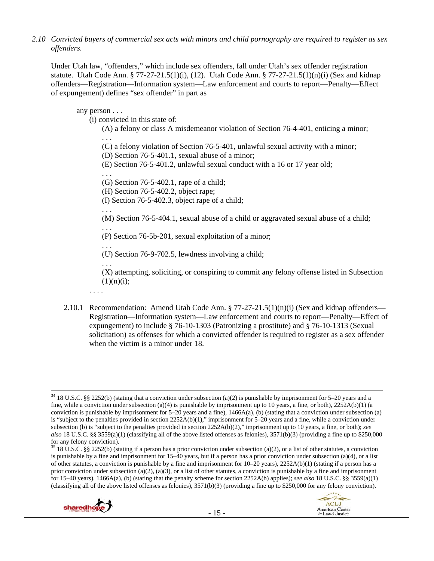*2.10 Convicted buyers of commercial sex acts with minors and child pornography are required to register as sex offenders.* 

Under Utah law, "offenders," which include sex offenders, fall under Utah's sex offender registration statute. Utah Code Ann. § 77-27-21.5(1)(i), (12). Utah Code Ann. § 77-27-21.5(1)(n)(i) (Sex and kidnap offenders—Registration—Information system—Law enforcement and courts to report—Penalty—Effect of expungement) defines "sex offender" in part as

any person . . .

(i) convicted in this state of:

(A) a felony or class A misdemeanor violation of Section 76-4-401, enticing a minor;

(C) a felony violation of Section 76-5-401, unlawful sexual activity with a minor;

(D) Section 76-5-401.1, sexual abuse of a minor;

(E) Section 76-5-401.2, unlawful sexual conduct with a 16 or 17 year old;

. . .

. . .

. . .

(G) Section 76-5-402.1, rape of a child;

(H) Section 76-5-402.2, object rape;

(I) Section 76-5-402.3, object rape of a child;

(M) Section 76-5-404.1, sexual abuse of a child or aggravated sexual abuse of a child;

. . . (P) Section 76-5b-201, sexual exploitation of a minor;

. . . (U) Section 76-9-702.5, lewdness involving a child;

. . . (X) attempting, soliciting, or conspiring to commit any felony offense listed in Subsection  $(1)(n)(i);$ 

. . . .

2.10.1 Recommendation: Amend Utah Code Ann. § 77-27-21.5(1)(n)(i) (Sex and kidnap offenders— Registration—Information system—Law enforcement and courts to report—Penalty—Effect of expungement) to include § 76-10-1303 (Patronizing a prostitute) and § 76-10-1313 (Sexual solicitation) as offenses for which a convicted offender is required to register as a sex offender when the victim is a minor under 18.

 $35\,18$  U.S.C. §§ 2252(b) (stating if a person has a prior conviction under subsection (a)(2), or a list of other statutes, a conviction is punishable by a fine and imprisonment for 15–40 years, but if a person has a prior conviction under subsection (a)(4), or a list of other statutes, a conviction is punishable by a fine and imprisonment for  $10-20$  years),  $2252A(b)(1)$  (stating if a person has a prior conviction under subsection (a)(2), (a)(3), or a list of other statutes, a conviction is punishable by a fine and imprisonment for 15–40 years), 1466A(a), (b) (stating that the penalty scheme for section 2252A(b) applies); *see also* 18 U.S.C. §§ 3559(a)(1) (classifying all of the above listed offenses as felonies), 3571(b)(3) (providing a fine up to \$250,000 for any felony conviction).





 34 18 U.S.C. §§ 2252(b) (stating that a conviction under subsection (a)(2) is punishable by imprisonment for 5–20 years and a fine, while a conviction under subsection (a)(4) is punishable by imprisonment up to 10 years, a fine, or both),  $2252A(b)(1)$  (a conviction is punishable by imprisonment for  $5-20$  years and a fine),  $1466A(a)$ , (b) (stating that a conviction under subsection (a) is "subject to the penalties provided in section 2252A(b)(1)," imprisonment for 5–20 years and a fine, while a conviction under subsection (b) is "subject to the penalties provided in section 2252A(b)(2)," imprisonment up to 10 years, a fine, or both); *see also* 18 U.S.C. §§ 3559(a)(1) (classifying all of the above listed offenses as felonies), 3571(b)(3) (providing a fine up to \$250,000 for any felony conviction).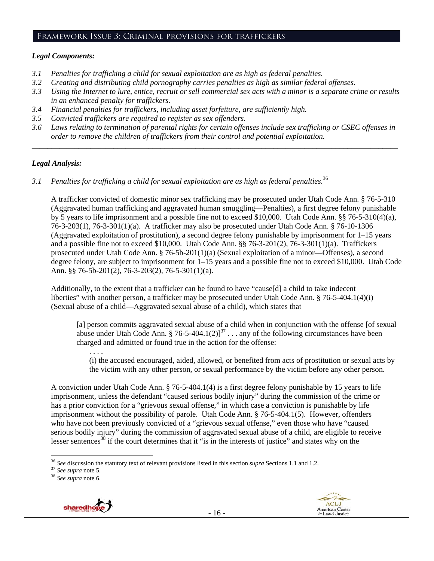#### Framework Issue 3: Criminal provisions for traffickers

#### *Legal Components:*

- *3.1 Penalties for trafficking a child for sexual exploitation are as high as federal penalties.*
- *3.2 Creating and distributing child pornography carries penalties as high as similar federal offenses.*
- *3.3 Using the Internet to lure, entice, recruit or sell commercial sex acts with a minor is a separate crime or results in an enhanced penalty for traffickers.*
- *3.4 Financial penalties for traffickers, including asset forfeiture, are sufficiently high.*
- *3.5 Convicted traffickers are required to register as sex offenders.*
- *3.6 Laws relating to termination of parental rights for certain offenses include sex trafficking or CSEC offenses in order to remove the children of traffickers from their control and potential exploitation. \_\_\_\_\_\_\_\_\_\_\_\_\_\_\_\_\_\_\_\_\_\_\_\_\_\_\_\_\_\_\_\_\_\_\_\_\_\_\_\_\_\_\_\_\_\_\_\_\_\_\_\_\_\_\_\_\_\_\_\_\_\_\_\_\_\_\_\_\_\_\_\_\_\_\_\_\_\_\_\_\_\_\_\_\_\_\_\_\_\_\_\_\_\_*

#### *Legal Analysis:*

*3.1 Penalties for trafficking a child for sexual exploitation are as high as federal penalties.*<sup>36</sup>

A trafficker convicted of domestic minor sex trafficking may be prosecuted under Utah Code Ann. § 76-5-310 (Aggravated human trafficking and aggravated human smuggling—Penalties), a first degree felony punishable by 5 years to life imprisonment and a possible fine not to exceed \$10,000. Utah Code Ann. §§ 76-5-310(4)(a), 76-3-203(1), 76-3-301(1)(a). A trafficker may also be prosecuted under Utah Code Ann. § 76-10-1306 (Aggravated exploitation of prostitution), a second degree felony punishable by imprisonment for 1–15 years and a possible fine not to exceed \$10,000. Utah Code Ann. §§ 76-3-201(2), 76-3-301(1)(a). Traffickers prosecuted under Utah Code Ann. § 76-5b-201(1)(a) (Sexual exploitation of a minor—Offenses), a second degree felony, are subject to imprisonment for 1–15 years and a possible fine not to exceed \$10,000. Utah Code Ann. §§ 76-5b-201(2), 76-3-203(2), 76-5-301(1)(a).

Additionally, to the extent that a trafficker can be found to have "cause[d] a child to take indecent liberties" with another person, a trafficker may be prosecuted under Utah Code Ann. § 76-5-404.1(4)(i) (Sexual abuse of a child—Aggravated sexual abuse of a child), which states that

[a] person commits aggravated sexual abuse of a child when in conjunction with the offense [of sexual abuse under Utah Code Ann. § 76-5-404.1(2)]<sup>37</sup> . . . any of the following circumstances have been charged and admitted or found true in the action for the offense:

(i) the accused encouraged, aided, allowed, or benefited from acts of prostitution or sexual acts by the victim with any other person, or sexual performance by the victim before any other person.

A conviction under Utah Code Ann. § 76-5-404.1(4) is a first degree felony punishable by 15 years to life imprisonment, unless the defendant "caused serious bodily injury" during the commission of the crime or has a prior conviction for a "grievous sexual offense," in which case a conviction is punishable by life imprisonment without the possibility of parole. Utah Code Ann. § 76-5-404.1(5). However, offenders who have not been previously convicted of a "grievous sexual offense," even those who have "caused serious bodily injury" during the commission of aggravated sexual abuse of a child, are eligible to receive lesser sentences<sup>38</sup> if the court determines that it "is in the interests of justice" and states why on the



<sup>. . . .</sup> 

<sup>&</sup>lt;sup>36</sup> See discussion the statutory text of relevant provisions listed in this section *supra* Sections 1.1 and 1.2. <sup>37</sup> See *supra* note 5. <sup>38</sup> See *supra* note 6.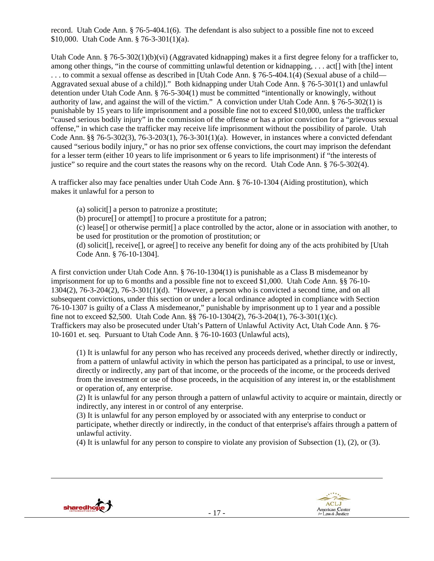record. Utah Code Ann. § 76-5-404.1(6). The defendant is also subject to a possible fine not to exceed \$10,000. Utah Code Ann. § 76-3-301(1)(a).

Utah Code Ann. § 76-5-302(1)(b)(vi) (Aggravated kidnapping) makes it a first degree felony for a trafficker to, among other things, "in the course of committing unlawful detention or kidnapping, . . . act[] with [the] intent . . . to commit a sexual offense as described in [Utah Code Ann. § 76-5-404.1(4) (Sexual abuse of a child— Aggravated sexual abuse of a child)]." Both kidnapping under Utah Code Ann. § 76-5-301(1) and unlawful detention under Utah Code Ann. § 76-5-304(1) must be committed "intentionally or knowingly, without authority of law, and against the will of the victim." A conviction under Utah Code Ann. § 76-5-302(1) is punishable by 15 years to life imprisonment and a possible fine not to exceed \$10,000, unless the trafficker "caused serious bodily injury" in the commission of the offense or has a prior conviction for a "grievous sexual offense," in which case the trafficker may receive life imprisonment without the possibility of parole. Utah Code Ann. §§ 76-5-302(3), 76-3-203(1), 76-3-301(1)(a). However, in instances where a convicted defendant caused "serious bodily injury," or has no prior sex offense convictions, the court may imprison the defendant for a lesser term (either 10 years to life imprisonment or 6 years to life imprisonment) if "the interests of justice" so require and the court states the reasons why on the record. Utah Code Ann. § 76-5-302(4).

A trafficker also may face penalties under Utah Code Ann. § 76-10-1304 (Aiding prostitution), which makes it unlawful for a person to

(a) solicit[] a person to patronize a prostitute;

(b) procure[] or attempt[] to procure a prostitute for a patron;

(c) lease[] or otherwise permit[] a place controlled by the actor, alone or in association with another, to be used for prostitution or the promotion of prostitution; or

(d) solicit[], receive[], or agree[] to receive any benefit for doing any of the acts prohibited by [Utah Code Ann. § 76-10-1304].

A first conviction under Utah Code Ann. § 76-10-1304(1) is punishable as a Class B misdemeanor by imprisonment for up to 6 months and a possible fine not to exceed \$1,000. Utah Code Ann. §§ 76-10- 1304(2), 76-3-204(2), 76-3-301(1)(d). "However, a person who is convicted a second time, and on all subsequent convictions, under this section or under a local ordinance adopted in compliance with Section 76-10-1307 is guilty of a Class A misdemeanor," punishable by imprisonment up to 1 year and a possible fine not to exceed \$2,500. Utah Code Ann. §§ 76-10-1304(2), 76-3-204(1), 76-3-301(1)(c). Traffickers may also be prosecuted under Utah's Pattern of Unlawful Activity Act, Utah Code Ann. § 76- 10-1601 et. seq. Pursuant to Utah Code Ann. § 76-10-1603 (Unlawful acts),

(1) It is unlawful for any person who has received any proceeds derived, whether directly or indirectly, from a pattern of unlawful activity in which the person has participated as a principal, to use or invest, directly or indirectly, any part of that income, or the proceeds of the income, or the proceeds derived from the investment or use of those proceeds, in the acquisition of any interest in, or the establishment or operation of, any enterprise.

(2) It is unlawful for any person through a pattern of unlawful activity to acquire or maintain, directly or indirectly, any interest in or control of any enterprise.

(3) It is unlawful for any person employed by or associated with any enterprise to conduct or participate, whether directly or indirectly, in the conduct of that enterprise's affairs through a pattern of unlawful activity.

(4) It is unlawful for any person to conspire to violate any provision of Subsection (1), (2), or (3).





<u> 1989 - Johann Stoff, amerikansk politiker (d. 1989)</u>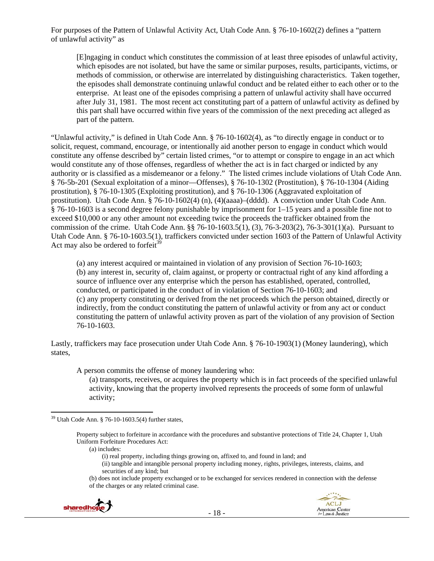For purposes of the Pattern of Unlawful Activity Act, Utah Code Ann. § 76-10-1602(2) defines a "pattern of unlawful activity" as

[E]ngaging in conduct which constitutes the commission of at least three episodes of unlawful activity, which episodes are not isolated, but have the same or similar purposes, results, participants, victims, or methods of commission, or otherwise are interrelated by distinguishing characteristics. Taken together, the episodes shall demonstrate continuing unlawful conduct and be related either to each other or to the enterprise. At least one of the episodes comprising a pattern of unlawful activity shall have occurred after July 31, 1981. The most recent act constituting part of a pattern of unlawful activity as defined by this part shall have occurred within five years of the commission of the next preceding act alleged as part of the pattern.

"Unlawful activity," is defined in Utah Code Ann. § 76-10-1602(4), as "to directly engage in conduct or to solicit, request, command, encourage, or intentionally aid another person to engage in conduct which would constitute any offense described by" certain listed crimes, "or to attempt or conspire to engage in an act which would constitute any of those offenses, regardless of whether the act is in fact charged or indicted by any authority or is classified as a misdemeanor or a felony." The listed crimes include violations of Utah Code Ann. § 76-5b-201 (Sexual exploitation of a minor—Offenses), § 76-10-1302 (Prostitution), § 76-10-1304 (Aiding prostitution), § 76-10-1305 (Exploiting prostitution), and § 76-10-1306 (Aggravated exploitation of prostitution). Utah Code Ann. § 76-10-1602(4) (n), (4)(aaaa)–(dddd). A conviction under Utah Code Ann. § 76-10-1603 is a second degree felony punishable by imprisonment for 1–15 years and a possible fine not to exceed \$10,000 or any other amount not exceeding twice the proceeds the trafficker obtained from the commission of the crime. Utah Code Ann. §§ 76-10-1603.5(1), (3), 76-3-203(2), 76-3-301(1)(a). Pursuant to Utah Code Ann. § 76-10-1603.5(1), traffickers convicted under section 1603 of the Pattern of Unlawful Activity Act may also be ordered to forfeit $39$ 

(a) any interest acquired or maintained in violation of any provision of Section 76-10-1603; (b) any interest in, security of, claim against, or property or contractual right of any kind affording a source of influence over any enterprise which the person has established, operated, controlled, conducted, or participated in the conduct of in violation of Section 76-10-1603; and (c) any property constituting or derived from the net proceeds which the person obtained, directly or indirectly, from the conduct constituting the pattern of unlawful activity or from any act or conduct constituting the pattern of unlawful activity proven as part of the violation of any provision of Section 76-10-1603.

Lastly, traffickers may face prosecution under Utah Code Ann. § 76-10-1903(1) (Money laundering), which states,

A person commits the offense of money laundering who:

(a) transports, receives, or acquires the property which is in fact proceeds of the specified unlawful activity, knowing that the property involved represents the proceeds of some form of unlawful activity;

- (i) real property, including things growing on, affixed to, and found in land; and
- (ii) tangible and intangible personal property including money, rights, privileges, interests, claims, and securities of any kind; but

<sup>(</sup>b) does not include property exchanged or to be exchanged for services rendered in connection with the defense of the charges or any related criminal case.



  $39$  Utah Code Ann. § 76-10-1603.5(4) further states,

Property subject to forfeiture in accordance with the procedures and substantive protections of Title 24, Chapter 1, Utah Uniform Forfeiture Procedures Act:

<sup>(</sup>a) includes: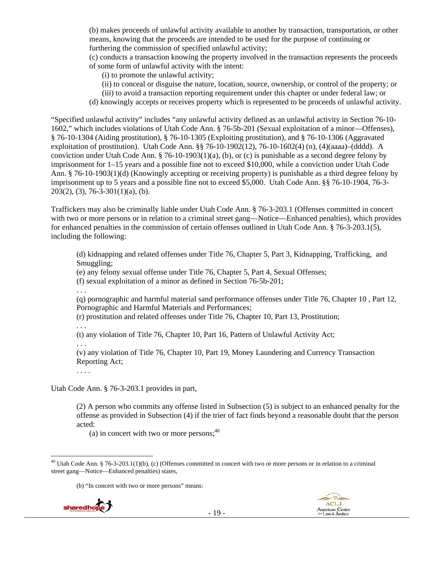(b) makes proceeds of unlawful activity available to another by transaction, transportation, or other means, knowing that the proceeds are intended to be used for the purpose of continuing or furthering the commission of specified unlawful activity;

(c) conducts a transaction knowing the property involved in the transaction represents the proceeds of some form of unlawful activity with the intent:

(i) to promote the unlawful activity;

- (ii) to conceal or disguise the nature, location, source, ownership, or control of the property; or
- (iii) to avoid a transaction reporting requirement under this chapter or under federal law; or
- (d) knowingly accepts or receives property which is represented to be proceeds of unlawful activity.

"Specified unlawful activity" includes "any unlawful activity defined as an unlawful activity in Section 76-10- 1602," which includes violations of Utah Code Ann. § 76-5b-201 (Sexual exploitation of a minor—Offenses), § 76-10-1304 (Aiding prostitution), § 76-10-1305 (Exploiting prostitution), and § 76-10-1306 (Aggravated exploitation of prostitution). Utah Code Ann. §§ 76-10-1902(12), 76-10-1602(4) (n), (4)(aaaa)–(dddd). A conviction under Utah Code Ann. § 76-10-1903(1)(a), (b), or (c) is punishable as a second degree felony by imprisonment for 1–15 years and a possible fine not to exceed \$10,000, while a conviction under Utah Code Ann. § 76-10-1903(1)(d) (Knowingly accepting or receiving property) is punishable as a third degree felony by imprisonment up to 5 years and a possible fine not to exceed \$5,000. Utah Code Ann. §§ 76-10-1904, 76-3-  $203(2)$ , (3), 76-3-301(1)(a), (b).

Traffickers may also be criminally liable under Utah Code Ann. § 76-3-203.1 (Offenses committed in concert with two or more persons or in relation to a criminal street gang—Notice—Enhanced penalties), which provides for enhanced penalties in the commission of certain offenses outlined in Utah Code Ann. § 76-3-203.1(5), including the following:

(d) kidnapping and related offenses under Title 76, Chapter 5, Part 3, Kidnapping, Trafficking, and Smuggling;

(e) any felony sexual offense under Title 76, Chapter 5, Part 4, Sexual Offenses;

(f) sexual exploitation of a minor as defined in Section 76-5b-201;

. . .

(q) pornographic and harmful material sand performance offenses under Title 76, Chapter 10 , Part 12, Pornographic and Harmful Materials and Performances;

(r) prostitution and related offenses under Title 76, Chapter 10, Part 13, Prostitution;

. . .

(t) any violation of Title 76, Chapter 10, Part 16, Pattern of Unlawful Activity Act;

. . .

(v) any violation of Title 76, Chapter 10, Part 19, Money Laundering and Currency Transaction Reporting Act;

. . . .

Utah Code Ann. § 76-3-203.1 provides in part,

(2) A person who commits any offense listed in Subsection (5) is subject to an enhanced penalty for the offense as provided in Subsection (4) if the trier of fact finds beyond a reasonable doubt that the person acted:

(a) in concert with two or more persons;  $40$ 

(b) "In concert with two or more persons" means:



<sup>&</sup>lt;sup>40</sup> Utah Code Ann. § 76-3-203.1(1)(b), (c) (Offenses committed in concert with two or more persons or in relation to a criminal street gang—Notice—Enhanced penalties) states,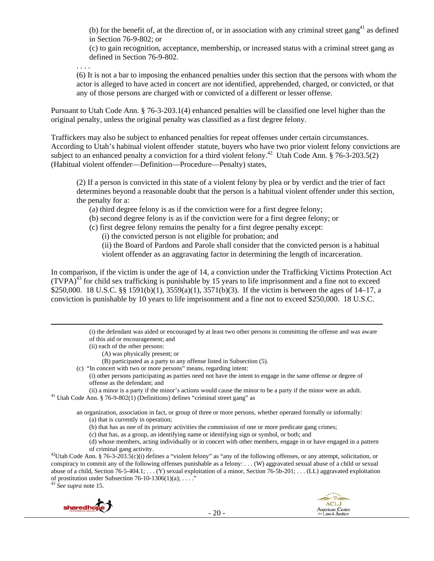(b) for the benefit of, at the direction of, or in association with any criminal street gang<sup>41</sup> as defined in Section 76-9-802; or

(c) to gain recognition, acceptance, membership, or increased status with a criminal street gang as defined in Section 76-9-802.

. . . .

(6) It is not a bar to imposing the enhanced penalties under this section that the persons with whom the actor is alleged to have acted in concert are not identified, apprehended, charged, or convicted, or that any of those persons are charged with or convicted of a different or lesser offense.

Pursuant to Utah Code Ann. § 76-3-203.1(4) enhanced penalties will be classified one level higher than the original penalty, unless the original penalty was classified as a first degree felony.

Traffickers may also be subject to enhanced penalties for repeat offenses under certain circumstances. According to Utah's habitual violent offender statute, buyers who have two prior violent felony convictions are subject to an enhanced penalty a conviction for a third violent felony.<sup>42</sup> Utah Code Ann. § 76-3-203.5(2) (Habitual violent offender—Definition—Procedure—Penalty) states,

(2) If a person is convicted in this state of a violent felony by plea or by verdict and the trier of fact determines beyond a reasonable doubt that the person is a habitual violent offender under this section, the penalty for a:

(a) third degree felony is as if the conviction were for a first degree felony;

(b) second degree felony is as if the conviction were for a first degree felony; or

(c) first degree felony remains the penalty for a first degree penalty except:

(i) the convicted person is not eligible for probation; and

(ii) the Board of Pardons and Parole shall consider that the convicted person is a habitual violent offender as an aggravating factor in determining the length of incarceration.

In comparison, if the victim is under the age of 14, a conviction under the Trafficking Victims Protection Act  $(TVPA)<sup>43</sup>$  for child sex trafficking is punishable by 15 years to life imprisonment and a fine not to exceed \$250,000. 18 U.S.C. §§ 1591(b)(1), 3559(a)(1), 3571(b)(3). If the victim is between the ages of 14–17, a conviction is punishable by 10 years to life imprisonment and a fine not to exceed \$250,000. 18 U.S.C.

<u> Andrewski politika (za obrazu pod predsjednika u predsjednika u predsjednika u predsjednika (za obrazu pod p</u>

(i) the defendant was aided or encouraged by at least two other persons in committing the offense and was aware of this aid or encouragement; and

- (ii) each of the other persons:
	- (A) was physically present; or
- (B) participated as a party to any offense listed in Subsection (5).
- (c) "In concert with two or more persons" means, regarding intent:
	- (i) other persons participating as parties need not have the intent to engage in the same offense or degree of offense as the defendant; and

(ii) a minor is a party if the minor's actions would cause the minor to be a party if the minor were an adult. 41 Utah Code Ann. § 76-9-802(1) (Definitions) defines "criminal street gang" as

an organization, association in fact, or group of three or more persons, whether operated formally or informally: (a) that is currently in operation;

- (b) that has as one of its primary activities the commission of one or more predicate gang crimes;
- (c) that has, as a group, an identifying name or identifying sign or symbol, or both; and

(d) whose members, acting individually or in concert with other members, engage in or have engaged in a pattern

of criminal gang activity. 42Utah Code Ann. § 76-3-203.5(c)(i) defines a "violent felony" as "any of the following offenses, or any attempt, solicitation, or conspiracy to commit any of the following offenses punishable as a felony: . . . (W) aggravated sexual abuse of a child or sexual abuse of a child, Section 76-5-404.1; . . . (Y) sexual exploitation of a minor, Section 76-5b-201; . . . (LL) aggravated exploitation of prostitution under Subsection 76-10-1306(1)(a);  $\dots$ ."

<sup>43</sup> *See supra* note 15.



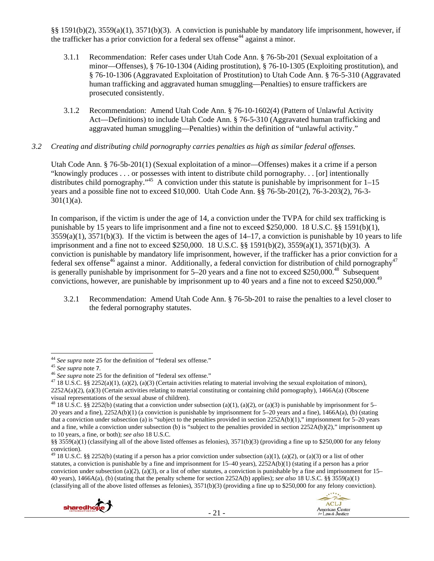§§ 1591(b)(2), 3559(a)(1), 3571(b)(3). A conviction is punishable by mandatory life imprisonment, however, if the trafficker has a prior conviction for a federal sex offense<sup>44</sup> against a minor.

- 3.1.1 Recommendation: Refer cases under Utah Code Ann. § 76-5b-201 (Sexual exploitation of a minor—Offenses), § 76-10-1304 (Aiding prostitution), § 76-10-1305 (Exploiting prostitution), and § 76-10-1306 (Aggravated Exploitation of Prostitution) to Utah Code Ann. § 76-5-310 (Aggravated human trafficking and aggravated human smuggling—Penalties) to ensure traffickers are prosecuted consistently.
- 3.1.2 Recommendation: Amend Utah Code Ann. § 76-10-1602(4) (Pattern of Unlawful Activity Act—Definitions) to include Utah Code Ann. § 76-5-310 (Aggravated human trafficking and aggravated human smuggling—Penalties) within the definition of "unlawful activity."

### *3.2 Creating and distributing child pornography carries penalties as high as similar federal offenses.*

Utah Code Ann. § 76-5b-201(1) (Sexual exploitation of a minor—Offenses) makes it a crime if a person "knowingly produces . . . or possesses with intent to distribute child pornography. . . [or] intentionally distributes child pornography."<sup>45</sup> A conviction under this statute is punishable by imprisonment for 1–15 years and a possible fine not to exceed \$10,000. Utah Code Ann. §§ 76-5b-201(2), 76-3-203(2), 76-3-  $301(1)(a)$ .

In comparison, if the victim is under the age of 14, a conviction under the TVPA for child sex trafficking is punishable by 15 years to life imprisonment and a fine not to exceed \$250,000. 18 U.S.C. §§ 1591(b)(1),  $3559(a)(1)$ ,  $3571(b)(3)$ . If the victim is between the ages of  $14-17$ , a conviction is punishable by 10 years to life imprisonment and a fine not to exceed \$250,000. 18 U.S.C. §§ 1591(b)(2), 3559(a)(1), 3571(b)(3). A conviction is punishable by mandatory life imprisonment, however, if the trafficker has a prior conviction for a federal sex offense<sup>46</sup> against a minor. Additionally, a federal conviction for distribution of child pornography<sup>47</sup> is generally punishable by imprisonment for  $5-20$  years and a fine not to exceed \$250,000.<sup>48</sup> Subsequent convictions, however, are punishable by imprisonment up to 40 years and a fine not to exceed \$250,000.<sup>49</sup>

3.2.1 Recommendation: Amend Utah Code Ann. § 76-5b-201 to raise the penalties to a level closer to the federal pornography statutes.

<sup>45</sup> See supra note 7.<br><sup>46</sup> See supra note 25 for the definition of "federal sex offense."<br><sup>46</sup> I8 U.S.C. §§ 2252(a)(1), (a)(2), (a)(3) (Certain activities relating to material involving the sexual exploitation of minors)  $2252A(a)(2)$ , (a)(3) (Certain activities relating to material constituting or containing child pornography), 1466A(a) (Obscene visual representations of the sexual abuse of children).

<sup>&</sup>lt;sup>49</sup> 18 U.S.C. §§ 2252(b) (stating if a person has a prior conviction under subsection (a)(1), (a)(2), or (a)(3) or a list of other statutes, a conviction is punishable by a fine and imprisonment for  $15-40$  years),  $2252A(b)(1)$  (stating if a person has a prior conviction under subsection (a)(2), (a)(3), or a list of other statutes, a conviction is punishable by a fine and imprisonment for  $15-$ 40 years), 1466A(a), (b) (stating that the penalty scheme for section 2252A(b) applies); *see also* 18 U.S.C. §§ 3559(a)(1) (classifying all of the above listed offenses as felonies), 3571(b)(3) (providing a fine up to \$250,000 for any felony conviction).





<sup>&</sup>lt;sup>44</sup> See supra note 25 for the definition of "federal sex offense."

<sup>&</sup>lt;sup>48</sup> 18 U.S.C. §§ 2252(b) (stating that a conviction under subsection (a)(1), (a)(2), or (a)(3) is punishable by imprisonment for 5– 20 years and a fine), 2252A(b)(1) (a conviction is punishable by imprisonment for 5–20 years and a fine), 1466A(a), (b) (stating that a conviction under subsection (a) is "subject to the penalties provided in section 2252A(b)(1)," imprisonment for 5–20 years and a fine, while a conviction under subsection (b) is "subject to the penalties provided in section 2252A(b)(2)," imprisonment up to 10 years, a fine, or both); *see also* 18 U.S.C.

<sup>§§ 3559(</sup>a)(1) (classifying all of the above listed offenses as felonies), 3571(b)(3) (providing a fine up to \$250,000 for any felony conviction).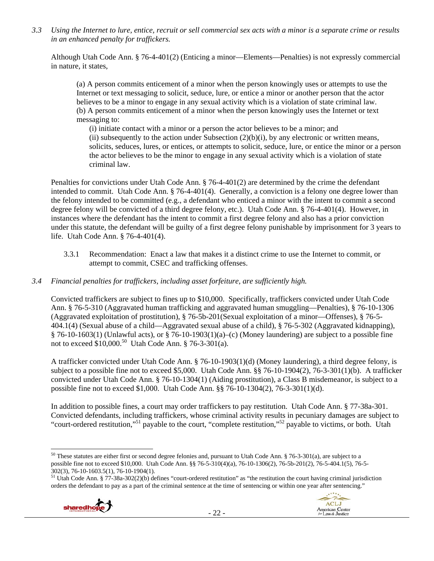*3.3 Using the Internet to lure, entice, recruit or sell commercial sex acts with a minor is a separate crime or results in an enhanced penalty for traffickers.* 

Although Utah Code Ann. § 76-4-401(2) (Enticing a minor—Elements—Penalties) is not expressly commercial in nature, it states,

(a) A person commits enticement of a minor when the person knowingly uses or attempts to use the Internet or text messaging to solicit, seduce, lure, or entice a minor or another person that the actor believes to be a minor to engage in any sexual activity which is a violation of state criminal law. (b) A person commits enticement of a minor when the person knowingly uses the Internet or text messaging to:

(i) initiate contact with a minor or a person the actor believes to be a minor; and (ii) subsequently to the action under Subsection  $(2)(b)(i)$ , by any electronic or written means, solicits, seduces, lures, or entices, or attempts to solicit, seduce, lure, or entice the minor or a person the actor believes to be the minor to engage in any sexual activity which is a violation of state criminal law.

Penalties for convictions under Utah Code Ann. § 76-4-401(2) are determined by the crime the defendant intended to commit. Utah Code Ann. § 76-4-401(4). Generally, a conviction is a felony one degree lower than the felony intended to be committed (e.g., a defendant who enticed a minor with the intent to commit a second degree felony will be convicted of a third degree felony, etc.). Utah Code Ann. § 76-4-401(4). However, in instances where the defendant has the intent to commit a first degree felony and also has a prior conviction under this statute, the defendant will be guilty of a first degree felony punishable by imprisonment for 3 years to life. Utah Code Ann. § 76-4-401(4).

3.3.1 Recommendation: Enact a law that makes it a distinct crime to use the Internet to commit, or attempt to commit, CSEC and trafficking offenses.

## *3.4 Financial penalties for traffickers, including asset forfeiture, are sufficiently high.*

Convicted traffickers are subject to fines up to \$10,000. Specifically, traffickers convicted under Utah Code Ann. § 76-5-310 (Aggravated human trafficking and aggravated human smuggling—Penalties), § 76-10-1306 (Aggravated exploitation of prostitution), § 76-5b-201(Sexual exploitation of a minor—Offenses), § 76-5- 404.1(4) (Sexual abuse of a child—Aggravated sexual abuse of a child), § 76-5-302 (Aggravated kidnapping), § 76-10-1603(1) (Unlawful acts), or § 76-10-1903(1)(a)–(c) (Money laundering) are subject to a possible fine not to exceed  $$10,000$ .<sup>50</sup> Utah Code Ann. § 76-3-301(a).

A trafficker convicted under Utah Code Ann. § 76-10-1903(1)(d) (Money laundering), a third degree felony, is subject to a possible fine not to exceed \$5,000. Utah Code Ann. §§ 76-10-1904(2), 76-3-301(1)(b). A trafficker convicted under Utah Code Ann. § 76-10-1304(1) (Aiding prostitution), a Class B misdemeanor, is subject to a possible fine not to exceed \$1,000. Utah Code Ann. §§ 76-10-1304(2), 76-3-301(1)(d).

In addition to possible fines, a court may order traffickers to pay restitution. Utah Code Ann. § 77-38a-301. Convicted defendants, including traffickers, whose criminal activity results in pecuniary damages are subject to "court-ordered restitution,"51 payable to the court, "complete restitution,"52 payable to victims, or both. Utah

- 22 -





 <sup>50</sup> These statutes are either first or second degree felonies and, pursuant to Utah Code Ann. § 76-3-301(a), are subject to a possible fine not to exceed \$10,000. Utah Code Ann. §§ 76-5-310(4)(a), 76-10-1306(2), 76-5b-201(2), 76-5-404.1(5), 76-5- 302(3), 76-10-1603.5(1), 76-10-1904(1).

<sup>&</sup>lt;sup>51</sup> Utah Code Ann. § 77-38a-302(2)(b) defines "court-ordered restitution" as "the restitution the court having criminal jurisdiction orders the defendant to pay as a part of the criminal sentence at the time of sentencing or within one year after sentencing."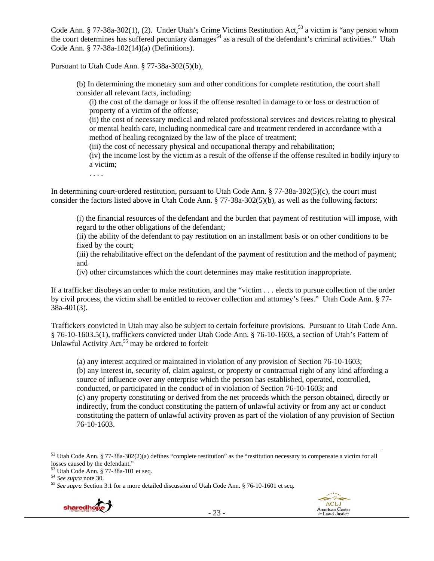Code Ann. § 77-38a-302(1), (2). Under Utah's Crime Victims Restitution Act,<sup>53</sup> a victim is "any person whom the court determines has suffered pecuniary damages<sup>54</sup> as a result of the defendant's criminal activities." Utah Code Ann. § 77-38a-102(14)(a) (Definitions).

Pursuant to Utah Code Ann. § 77-38a-302(5)(b),

(b) In determining the monetary sum and other conditions for complete restitution, the court shall consider all relevant facts, including:

(i) the cost of the damage or loss if the offense resulted in damage to or loss or destruction of property of a victim of the offense;

(ii) the cost of necessary medical and related professional services and devices relating to physical or mental health care, including nonmedical care and treatment rendered in accordance with a method of healing recognized by the law of the place of treatment;

(iii) the cost of necessary physical and occupational therapy and rehabilitation;

(iv) the income lost by the victim as a result of the offense if the offense resulted in bodily injury to a victim;

. . . .

In determining court-ordered restitution, pursuant to Utah Code Ann. § 77-38a-302(5)(c), the court must consider the factors listed above in Utah Code Ann. § 77-38a-302(5)(b), as well as the following factors:

(i) the financial resources of the defendant and the burden that payment of restitution will impose, with regard to the other obligations of the defendant;

(ii) the ability of the defendant to pay restitution on an installment basis or on other conditions to be fixed by the court;

(iii) the rehabilitative effect on the defendant of the payment of restitution and the method of payment; and

(iv) other circumstances which the court determines may make restitution inappropriate.

If a trafficker disobeys an order to make restitution, and the "victim . . . elects to pursue collection of the order by civil process, the victim shall be entitled to recover collection and attorney's fees." Utah Code Ann. § 77- 38a-401(3).

Traffickers convicted in Utah may also be subject to certain forfeiture provisions. Pursuant to Utah Code Ann. § 76-10-1603.5(1), traffickers convicted under Utah Code Ann. § 76-10-1603, a section of Utah's Pattern of Unlawful Activity Act, $55$  may be ordered to forfeit

(a) any interest acquired or maintained in violation of any provision of Section 76-10-1603; (b) any interest in, security of, claim against, or property or contractual right of any kind affording a source of influence over any enterprise which the person has established, operated, controlled, conducted, or participated in the conduct of in violation of Section 76-10-1603; and (c) any property constituting or derived from the net proceeds which the person obtained, directly or indirectly, from the conduct constituting the pattern of unlawful activity or from any act or conduct constituting the pattern of unlawful activity proven as part of the violation of any provision of Section 76-10-1603.

<sup>&</sup>lt;sup>55</sup> See supra Section 3.1 for a more detailed discussion of Utah Code Ann. § 76-10-1601 et seq.



 $52$  Utah Code Ann. § 77-38a-302(2)(a) defines "complete restitution" as the "restitution necessary to compensate a victim for all losses caused by the defendant."

 $53$  Utah Code Ann. § 77-38a-101 et seq.<br> $54$  See supra note 30.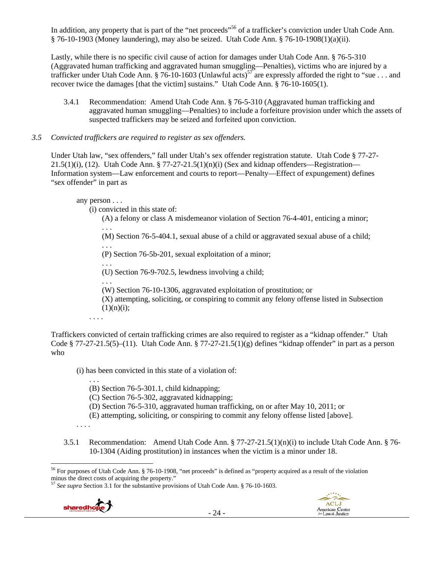In addition, any property that is part of the "net proceeds"<sup>56</sup> of a trafficker's conviction under Utah Code Ann. § 76-10-1903 (Money laundering), may also be seized. Utah Code Ann. § 76-10-1908(1)(a)(ii).

Lastly, while there is no specific civil cause of action for damages under Utah Code Ann. § 76-5-310 (Aggravated human trafficking and aggravated human smuggling—Penalties), victims who are injured by a trafficker under Utah Code Ann. § 76-10-1603 (Unlawful acts)<sup>57</sup> are expressly afforded the right to "sue . . . and recover twice the damages [that the victim] sustains." Utah Code Ann. § 76-10-1605(1).

- 3.4.1 Recommendation: Amend Utah Code Ann. § 76-5-310 (Aggravated human trafficking and aggravated human smuggling—Penalties) to include a forfeiture provision under which the assets of suspected traffickers may be seized and forfeited upon conviction.
- *3.5 Convicted traffickers are required to register as sex offenders.*

Under Utah law, "sex offenders," fall under Utah's sex offender registration statute. Utah Code § 77-27-  $21.5(1)(i)$ , (12). Utah Code Ann. § 77-27-21.5(1)(n)(i) (Sex and kidnap offenders—Registration— Information system—Law enforcement and courts to report—Penalty—Effect of expungement) defines "sex offender" in part as

## any person . . .

. . .

(i) convicted in this state of:

(A) a felony or class A misdemeanor violation of Section 76-4-401, enticing a minor;

(M) Section 76-5-404.1, sexual abuse of a child or aggravated sexual abuse of a child;

. . . (P) Section 76-5b-201, sexual exploitation of a minor;

. . . (U) Section 76-9-702.5, lewdness involving a child;

. . . (W) Section 76-10-1306, aggravated exploitation of prostitution; or

(X) attempting, soliciting, or conspiring to commit any felony offense listed in Subsection  $(1)(n)(i);$ 

. . . .

Traffickers convicted of certain trafficking crimes are also required to register as a "kidnap offender." Utah Code § 77-27-21.5(5)–(11). Utah Code Ann. § 77-27-21.5(1)(g) defines "kidnap offender" in part as a person who

(i) has been convicted in this state of a violation of:

. . . (B) Section 76-5-301.1, child kidnapping;

(C) Section 76-5-302, aggravated kidnapping;

(D) Section 76-5-310, aggravated human trafficking, on or after May 10, 2011; or

(E) attempting, soliciting, or conspiring to commit any felony offense listed [above].

- . . . .
- 3.5.1 Recommendation: Amend Utah Code Ann. § 77-27-21.5(1)(n)(i) to include Utah Code Ann. § 76- 10-1304 (Aiding prostitution) in instances when the victim is a minor under 18.

<sup>57</sup> *See supra* Section 3.1 for the substantive provisions of Utah Code Ann. § 76-10-1603.





 <sup>56</sup> For purposes of Utah Code Ann. § 76-10-1908, "net proceeds" is defined as "property acquired as a result of the violation minus the direct costs of acquiring the property."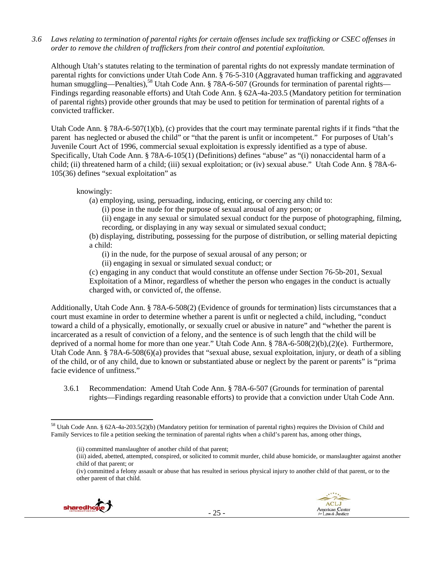*3.6 Laws relating to termination of parental rights for certain offenses include sex trafficking or CSEC offenses in order to remove the children of traffickers from their control and potential exploitation.*

Although Utah's statutes relating to the termination of parental rights do not expressly mandate termination of parental rights for convictions under Utah Code Ann. § 76-5-310 (Aggravated human trafficking and aggravated human smuggling—Penalties),<sup>58</sup> Utah Code Ann. § 78A-6-507 (Grounds for termination of parental rights— Findings regarding reasonable efforts) and Utah Code Ann. § 62A-4a-203.5 (Mandatory petition for termination of parental rights) provide other grounds that may be used to petition for termination of parental rights of a convicted trafficker.

Utah Code Ann. § 78A-6-507(1)(b), (c) provides that the court may terminate parental rights if it finds "that the parent has neglected or abused the child" or "that the parent is unfit or incompetent." For purposes of Utah's Juvenile Court Act of 1996, commercial sexual exploitation is expressly identified as a type of abuse. Specifically, Utah Code Ann. § 78A-6-105(1) (Definitions) defines "abuse" as "(i) nonaccidental harm of a child; (ii) threatened harm of a child; (iii) sexual exploitation; or (iv) sexual abuse." Utah Code Ann. § 78A-6- 105(36) defines "sexual exploitation" as

knowingly:

(a) employing, using, persuading, inducing, enticing, or coercing any child to:

(i) pose in the nude for the purpose of sexual arousal of any person; or

(ii) engage in any sexual or simulated sexual conduct for the purpose of photographing, filming, recording, or displaying in any way sexual or simulated sexual conduct;

(b) displaying, distributing, possessing for the purpose of distribution, or selling material depicting a child:

(i) in the nude, for the purpose of sexual arousal of any person; or

(ii) engaging in sexual or simulated sexual conduct; or

(c) engaging in any conduct that would constitute an offense under Section 76-5b-201, Sexual Exploitation of a Minor, regardless of whether the person who engages in the conduct is actually charged with, or convicted of, the offense.

Additionally, Utah Code Ann. § 78A-6-508(2) (Evidence of grounds for termination) lists circumstances that a court must examine in order to determine whether a parent is unfit or neglected a child, including, "conduct toward a child of a physically, emotionally, or sexually cruel or abusive in nature" and "whether the parent is incarcerated as a result of conviction of a felony, and the sentence is of such length that the child will be deprived of a normal home for more than one year." Utah Code Ann. § 78A-6-508(2)(b),(2)(e). Furthermore, Utah Code Ann. § 78A-6-508(6)(a) provides that "sexual abuse, sexual exploitation, injury, or death of a sibling of the child, or of any child, due to known or substantiated abuse or neglect by the parent or parents" is "prima facie evidence of unfitness."

3.6.1 Recommendation: Amend Utah Code Ann. § 78A-6-507 (Grounds for termination of parental rights—Findings regarding reasonable efforts) to provide that a conviction under Utah Code Ann.

<sup>(</sup>iv) committed a felony assault or abuse that has resulted in serious physical injury to another child of that parent, or to the other parent of that child.





  $58$  Utah Code Ann. § 62A-4a-203.5(2)(b) (Mandatory petition for termination of parental rights) requires the Division of Child and Family Services to file a petition seeking the termination of parental rights when a child's parent has, among other things,

<sup>(</sup>ii) committed manslaughter of another child of that parent;

<sup>(</sup>iii) aided, abetted, attempted, conspired, or solicited to commit murder, child abuse homicide, or manslaughter against another child of that parent; or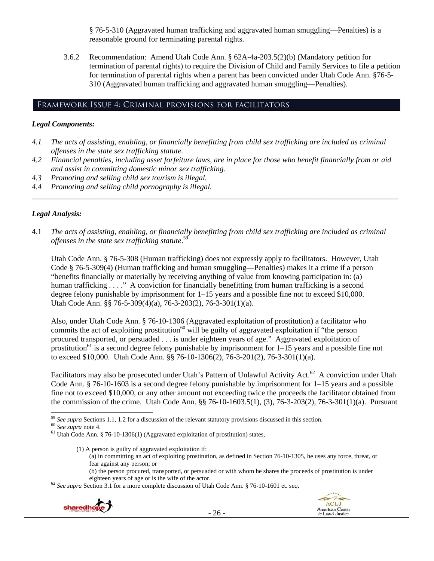§ 76-5-310 (Aggravated human trafficking and aggravated human smuggling—Penalties) is a reasonable ground for terminating parental rights.

3.6.2 Recommendation: Amend Utah Code Ann. § 62A-4a-203.5(2)(b) (Mandatory petition for termination of parental rights) to require the Division of Child and Family Services to file a petition for termination of parental rights when a parent has been convicted under Utah Code Ann. §76-5- 310 (Aggravated human trafficking and aggravated human smuggling—Penalties).

### Framework Issue 4: Criminal provisions for facilitators

#### *Legal Components:*

- *4.1 The acts of assisting, enabling, or financially benefitting from child sex trafficking are included as criminal offenses in the state sex trafficking statute.*
- *4.2 Financial penalties, including asset forfeiture laws, are in place for those who benefit financially from or aid and assist in committing domestic minor sex trafficking.*

*\_\_\_\_\_\_\_\_\_\_\_\_\_\_\_\_\_\_\_\_\_\_\_\_\_\_\_\_\_\_\_\_\_\_\_\_\_\_\_\_\_\_\_\_\_\_\_\_\_\_\_\_\_\_\_\_\_\_\_\_\_\_\_\_\_\_\_\_\_\_\_\_\_\_\_\_\_\_\_\_\_\_\_\_\_\_\_\_\_\_\_\_\_\_* 

- *4.3 Promoting and selling child sex tourism is illegal.*
- *4.4 Promoting and selling child pornography is illegal.*

### *Legal Analysis:*

4.1 *The acts of assisting, enabling, or financially benefitting from child sex trafficking are included as criminal offenses in the state sex trafficking statute*. 59

Utah Code Ann. § 76-5-308 (Human trafficking) does not expressly apply to facilitators. However, Utah Code § 76-5-309(4) (Human trafficking and human smuggling—Penalties) makes it a crime if a person "benefits financially or materially by receiving anything of value from knowing participation in: (a) human trafficking . . . ." A conviction for financially benefitting from human trafficking is a second degree felony punishable by imprisonment for 1–15 years and a possible fine not to exceed \$10,000. Utah Code Ann. §§ 76-5-309(4)(a), 76-3-203(2), 76-3-301(1)(a).

Also, under Utah Code Ann. § 76-10-1306 (Aggravated exploitation of prostitution) a facilitator who commits the act of exploiting prostitution<sup>60</sup> will be guilty of aggravated exploitation if "the person" procured transported, or persuaded . . . is under eighteen years of age." Aggravated exploitation of prostitution<sup>61</sup> is a second degree felony punishable by imprisonment for  $1-15$  years and a possible fine not to exceed \$10,000. Utah Code Ann. §§ 76-10-1306(2), 76-3-201(2), 76-3-301(1)(a).

Facilitators may also be prosecuted under Utah's Pattern of Unlawful Activity Act.<sup>62</sup> A conviction under Utah Code Ann. § 76-10-1603 is a second degree felony punishable by imprisonment for 1–15 years and a possible fine not to exceed \$10,000, or any other amount not exceeding twice the proceeds the facilitator obtained from the commission of the crime. Utah Code Ann. §§ 76-10-1603.5(1), (3), 76-3-203(2), 76-3-301(1)(a). Pursuant

- (1) A person is guilty of aggravated exploitation if: (a) in committing an act of exploiting prostitution, as defined in Section 76-10-1305, he uses any force, threat, or fear against any person; or
	- (b) the person procured, transported, or persuaded or with whom he shares the proceeds of prostitution is under

eighteen years of age or is the wife of the actor. 62 *See supra* Section 3.1 for a more complete discussion of Utah Code Ann. § 76-10-1601 et. seq.





 <sup>59</sup> See supra Sections 1.1, 1.2 for a discussion of the relevant statutory provisions discussed in this section.<br><sup>60</sup> See supra note 4.<br><sup>61</sup> Utah Code Ann. § 76-10-1306(1) (Aggravated exploitation of prostitution) states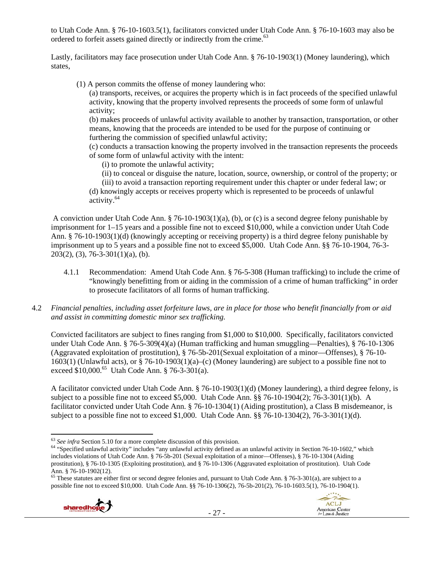to Utah Code Ann. § 76-10-1603.5(1), facilitators convicted under Utah Code Ann. § 76-10-1603 may also be ordered to forfeit assets gained directly or indirectly from the crime.<sup>63</sup>

Lastly, facilitators may face prosecution under Utah Code Ann. § 76-10-1903(1) (Money laundering), which states,

(1) A person commits the offense of money laundering who:

(a) transports, receives, or acquires the property which is in fact proceeds of the specified unlawful activity, knowing that the property involved represents the proceeds of some form of unlawful activity;

(b) makes proceeds of unlawful activity available to another by transaction, transportation, or other means, knowing that the proceeds are intended to be used for the purpose of continuing or furthering the commission of specified unlawful activity;

(c) conducts a transaction knowing the property involved in the transaction represents the proceeds of some form of unlawful activity with the intent:

(i) to promote the unlawful activity;

(ii) to conceal or disguise the nature, location, source, ownership, or control of the property; or

(iii) to avoid a transaction reporting requirement under this chapter or under federal law; or (d) knowingly accepts or receives property which is represented to be proceeds of unlawful activity.64

 A conviction under Utah Code Ann. § 76-10-1903(1)(a), (b), or (c) is a second degree felony punishable by imprisonment for 1–15 years and a possible fine not to exceed \$10,000, while a conviction under Utah Code Ann. § 76-10-1903(1)(d) (knowingly accepting or receiving property) is a third degree felony punishable by imprisonment up to 5 years and a possible fine not to exceed \$5,000. Utah Code Ann. §§ 76-10-1904, 76-3- 203(2), (3), 76-3-301(1)(a), (b).

- 4.1.1 Recommendation: Amend Utah Code Ann. § 76-5-308 (Human trafficking) to include the crime of "knowingly benefitting from or aiding in the commission of a crime of human trafficking" in order to prosecute facilitators of all forms of human trafficking.
- 4.2 *Financial penalties, including asset forfeiture laws, are in place for those who benefit financially from or aid and assist in committing domestic minor sex trafficking.*

Convicted facilitators are subject to fines ranging from \$1,000 to \$10,000. Specifically, facilitators convicted under Utah Code Ann. § 76-5-309(4)(a) (Human trafficking and human smuggling—Penalties), § 76-10-1306 (Aggravated exploitation of prostitution), § 76-5b-201(Sexual exploitation of a minor—Offenses), § 76-10- 1603(1) (Unlawful acts), or  $\S$  76-10-1903(1)(a)–(c) (Money laundering) are subject to a possible fine not to exceed  $$10,000$ .<sup>65</sup> Utah Code Ann. § 76-3-301(a).

A facilitator convicted under Utah Code Ann. § 76-10-1903(1)(d) (Money laundering), a third degree felony, is subject to a possible fine not to exceed \$5,000. Utah Code Ann. §§ 76-10-1904(2); 76-3-301(1)(b). A facilitator convicted under Utah Code Ann. § 76-10-1304(1) (Aiding prostitution), a Class B misdemeanor, is subject to a possible fine not to exceed \$1,000. Utah Code Ann. §§ 76-10-1304(2), 76-3-301(1)(d).

 $65$  These statutes are either first or second degree felonies and, pursuant to Utah Code Ann. § 76-3-301(a), are subject to a possible fine not to exceed \$10,000. Utah Code Ann. §§ 76-10-1306(2), 76-5b-201(2), 76-10-1603.5(1), 76-10-1904(1).



 $63$  See infra Section 5.10 for a more complete discussion of this provision.

<sup>&</sup>lt;sup>64</sup> "Specified unlawful activity" includes "any unlawful activity defined as an unlawful activity in Section 76-10-1602," which includes violations of Utah Code Ann. § 76-5b-201 (Sexual exploitation of a minor—Offenses), § 76-10-1304 (Aiding prostitution), § 76-10-1305 (Exploiting prostitution), and § 76-10-1306 (Aggravated exploitation of prostitution). Utah Code Ann. § 76-10-1902(12).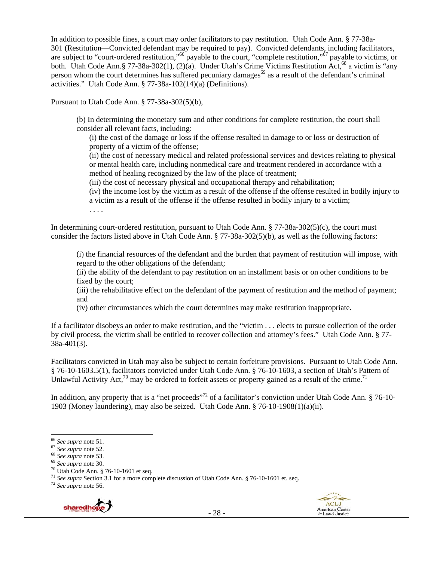In addition to possible fines, a court may order facilitators to pay restitution. Utah Code Ann. § 77-38a-301 (Restitution—Convicted defendant may be required to pay). Convicted defendants, including facilitators, are subject to "court-ordered restitution,"<sup>66</sup> payable to the court, "complete restitution,"<sup>67</sup> payable to victims, or both. Utah Code Ann.§ 77-38a-302(1), (2)(a). Under Utah's Crime Victims Restitution Act,<sup>68</sup> a victim is "any person whom the court determines has suffered pecuniary damages<sup>69</sup> as a result of the defendant's criminal activities." Utah Code Ann. § 77-38a-102(14)(a) (Definitions).

Pursuant to Utah Code Ann. § 77-38a-302(5)(b),

(b) In determining the monetary sum and other conditions for complete restitution, the court shall consider all relevant facts, including:

(i) the cost of the damage or loss if the offense resulted in damage to or loss or destruction of property of a victim of the offense;

(ii) the cost of necessary medical and related professional services and devices relating to physical or mental health care, including nonmedical care and treatment rendered in accordance with a method of healing recognized by the law of the place of treatment;

(iii) the cost of necessary physical and occupational therapy and rehabilitation;

(iv) the income lost by the victim as a result of the offense if the offense resulted in bodily injury to a victim as a result of the offense if the offense resulted in bodily injury to a victim;

. . . .

In determining court-ordered restitution, pursuant to Utah Code Ann. § 77-38a-302(5)(c), the court must consider the factors listed above in Utah Code Ann. § 77-38a-302(5)(b), as well as the following factors:

(i) the financial resources of the defendant and the burden that payment of restitution will impose, with regard to the other obligations of the defendant;

(ii) the ability of the defendant to pay restitution on an installment basis or on other conditions to be fixed by the court;

(iii) the rehabilitative effect on the defendant of the payment of restitution and the method of payment; and

(iv) other circumstances which the court determines may make restitution inappropriate.

If a facilitator disobeys an order to make restitution, and the "victim . . . elects to pursue collection of the order by civil process, the victim shall be entitled to recover collection and attorney's fees." Utah Code Ann. § 77- 38a-401(3).

Facilitators convicted in Utah may also be subject to certain forfeiture provisions. Pursuant to Utah Code Ann. § 76-10-1603.5(1), facilitators convicted under Utah Code Ann. § 76-10-1603, a section of Utah's Pattern of Unlawful Activity Act,<sup>70</sup> may be ordered to forfeit assets or property gained as a result of the crime.<sup>71</sup>

In addition, any property that is a "net proceeds"<sup>72</sup> of a facilitator's conviction under Utah Code Ann. § 76-10-1903 (Money laundering), may also be seized. Utah Code Ann. § 76-10-1908(1)(a)(ii).



<sup>&</sup>lt;sup>66</sup> See supra note 51.<br><sup>67</sup> See supra note 52.<br><sup>68</sup> See supra note 53.<br><sup>69</sup> See supra note 30.<br><sup>70</sup> Utah Code Ann. § 76-10-1601 et seq.

<sup>71</sup> *See supra* Section 3.1 for a more complete discussion of Utah Code Ann. § 76-10-1601 et. seq. 72 *See supra* note 56.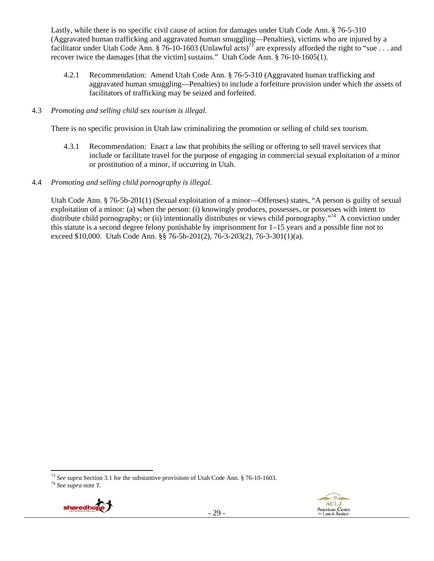Lastly, while there is no specific civil cause of action for damages under Utah Code Ann. § 76-5-310 (Aggravated human trafficking and aggravated human smuggling—Penalties), victims who are injured by a facilitator under Utah Code Ann. § 76-10-1603 (Unlawful acts)<sup>73</sup> are expressly afforded the right to "sue . . . and recover twice the damages [that the victim] sustains." Utah Code Ann. § 76-10-1605(1).

4.2.1 Recommendation: Amend Utah Code Ann. § 76-5-310 (Aggravated human trafficking and aggravated human smuggling—Penalties) to include a forfeiture provision under which the assets of facilitators of trafficking may be seized and forfeited.

## 4.3 *Promoting and selling child sex tourism is illegal*.

There is no specific provision in Utah law criminalizing the promotion or selling of child sex tourism.

- 4.3.1 Recommendation: Enact a law that prohibits the selling or offering to sell travel services that include or facilitate travel for the purpose of engaging in commercial sexual exploitation of a minor or prostitution of a minor, if occurring in Utah.
- 4.4 *Promoting and selling child pornography is illegal*.

Utah Code Ann. § 76-5b-201(1) (Sexual exploitation of a minor—Offenses) states, "A person is guilty of sexual exploitation of a minor: (a) when the person: (i) knowingly produces, possesses, or possesses with intent to distribute child pornography; or (ii) intentionally distributes or views child pornography."<sup>74</sup> A conviction under this statute is a second degree felony punishable by imprisonment for 1–15 years and a possible fine not to exceed \$10,000. Utah Code Ann. §§ 76-5b-201(2), 76-3-203(2), 76-3-301(1)(a).





<sup>73</sup> *See supra* Section 3.1 for the substantive provisions of Utah Code Ann. § 76-10-1603. 74 *See supra* note 7.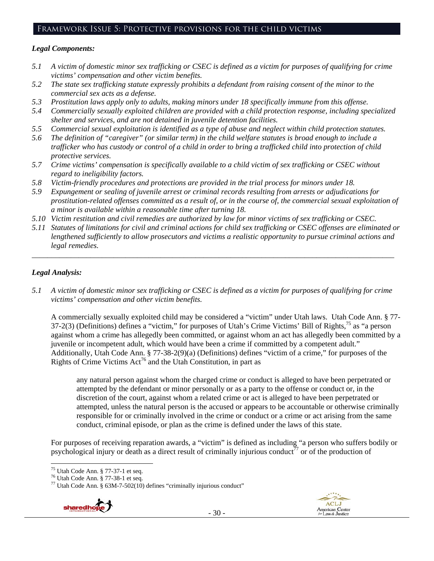# Framework Issue 5: Protective provisions for the child victims

## *Legal Components:*

- *5.1 A victim of domestic minor sex trafficking or CSEC is defined as a victim for purposes of qualifying for crime victims' compensation and other victim benefits.*
- *5.2 The state sex trafficking statute expressly prohibits a defendant from raising consent of the minor to the commercial sex acts as a defense.*
- *5.3 Prostitution laws apply only to adults, making minors under 18 specifically immune from this offense.*
- *5.4 Commercially sexually exploited children are provided with a child protection response, including specialized shelter and services, and are not detained in juvenile detention facilities.*
- *5.5 Commercial sexual exploitation is identified as a type of abuse and neglect within child protection statutes.*
- *5.6 The definition of "caregiver" (or similar term) in the child welfare statutes is broad enough to include a trafficker who has custody or control of a child in order to bring a trafficked child into protection of child protective services.*
- *5.7 Crime victims' compensation is specifically available to a child victim of sex trafficking or CSEC without regard to ineligibility factors.*
- *5.8 Victim-friendly procedures and protections are provided in the trial process for minors under 18.*
- *5.9 Expungement or sealing of juvenile arrest or criminal records resulting from arrests or adjudications for prostitution-related offenses committed as a result of, or in the course of, the commercial sexual exploitation of a minor is available within a reasonable time after turning 18.*
- *5.10 Victim restitution and civil remedies are authorized by law for minor victims of sex trafficking or CSEC.*
- *5.11 Statutes of limitations for civil and criminal actions for child sex trafficking or CSEC offenses are eliminated or lengthened sufficiently to allow prosecutors and victims a realistic opportunity to pursue criminal actions and legal remedies.*

*\_\_\_\_\_\_\_\_\_\_\_\_\_\_\_\_\_\_\_\_\_\_\_\_\_\_\_\_\_\_\_\_\_\_\_\_\_\_\_\_\_\_\_\_\_\_\_\_\_\_\_\_\_\_\_\_\_\_\_\_\_\_\_\_\_\_\_\_\_\_\_\_\_\_\_\_\_\_\_\_\_\_\_\_\_\_\_\_\_\_\_\_\_* 

## *Legal Analysis:*

*5.1 A victim of domestic minor sex trafficking or CSEC is defined as a victim for purposes of qualifying for crime victims' compensation and other victim benefits.* 

A commercially sexually exploited child may be considered a "victim" under Utah laws. Utah Code Ann. § 77- 37-2(3) (Definitions) defines a "victim," for purposes of Utah's Crime Victims' Bill of Rights,75 as "a person against whom a crime has allegedly been committed, or against whom an act has allegedly been committed by a juvenile or incompetent adult, which would have been a crime if committed by a competent adult." Additionally, Utah Code Ann. § 77-38-2(9)(a) (Definitions) defines "victim of a crime," for purposes of the Rights of Crime Victims  $Act^{76}$  and the Utah Constitution, in part as

any natural person against whom the charged crime or conduct is alleged to have been perpetrated or attempted by the defendant or minor personally or as a party to the offense or conduct or, in the discretion of the court, against whom a related crime or act is alleged to have been perpetrated or attempted, unless the natural person is the accused or appears to be accountable or otherwise criminally responsible for or criminally involved in the crime or conduct or a crime or act arising from the same conduct, criminal episode, or plan as the crime is defined under the laws of this state.

For purposes of receiving reparation awards, a "victim" is defined as including "a person who suffers bodily or psychological injury or death as a direct result of criminally injurious conduct<sup>77</sup> or of the production of

 $77$  Utah Code Ann. § 63M-7-502(10) defines "criminally injurious conduct"





 75 Utah Code Ann. § 77-37-1 et seq.

<sup>76</sup> Utah Code Ann. § 77-38-1 et seq.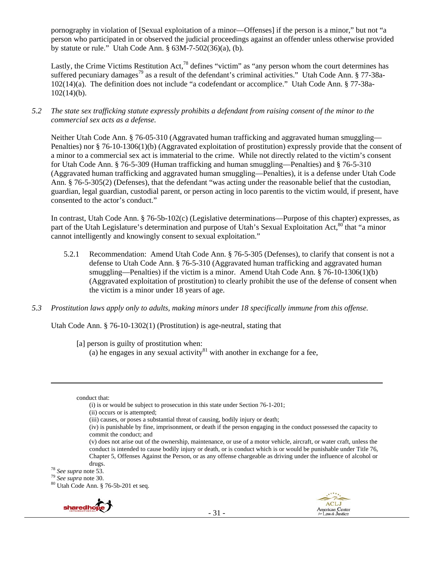pornography in violation of [Sexual exploitation of a minor—Offenses] if the person is a minor," but not "a person who participated in or observed the judicial proceedings against an offender unless otherwise provided by statute or rule." Utah Code Ann. § 63M-7-502(36)(a), (b).

Lastly, the Crime Victims Restitution Act,<sup>78</sup> defines "victim" as "any person whom the court determines has suffered pecuniary damages<sup>79</sup> as a result of the defendant's criminal activities." Utah Code Ann. § 77-38a-102(14)(a). The definition does not include "a codefendant or accomplice." Utah Code Ann. § 77-38a-102(14)(b).

*5.2 The state sex trafficking statute expressly prohibits a defendant from raising consent of the minor to the commercial sex acts as a defense.* 

Neither Utah Code Ann. § 76-05-310 (Aggravated human trafficking and aggravated human smuggling— Penalties) nor § 76-10-1306(1)(b) (Aggravated exploitation of prostitution) expressly provide that the consent of a minor to a commercial sex act is immaterial to the crime. While not directly related to the victim's consent for Utah Code Ann. § 76-5-309 (Human trafficking and human smuggling—Penalties) and § 76-5-310 (Aggravated human trafficking and aggravated human smuggling—Penalties), it is a defense under Utah Code Ann. § 76-5-305(2) (Defenses), that the defendant "was acting under the reasonable belief that the custodian, guardian, legal guardian, custodial parent, or person acting in loco parentis to the victim would, if present, have consented to the actor's conduct."

In contrast, Utah Code Ann. § 76-5b-102(c) (Legislative determinations—Purpose of this chapter) expresses, as part of the Utah Legislature's determination and purpose of Utah's Sexual Exploitation Act,<sup>80</sup> that "a minor cannot intelligently and knowingly consent to sexual exploitation."

- 5.2.1 Recommendation: Amend Utah Code Ann. § 76-5-305 (Defenses), to clarify that consent is not a defense to Utah Code Ann. § 76-5-310 (Aggravated human trafficking and aggravated human smuggling—Penalties) if the victim is a minor. Amend Utah Code Ann. § 76-10-1306(1)(b) (Aggravated exploitation of prostitution) to clearly prohibit the use of the defense of consent when the victim is a minor under 18 years of age.
- *5.3 Prostitution laws apply only to adults, making minors under 18 specifically immune from this offense.*

Utah Code Ann. § 76-10-1302(1) (Prostitution) is age-neutral, stating that

[a] person is guilty of prostitution when:

(a) he engages in any sexual activity  $81$  with another in exchange for a fee,

<u> 1989 - Johann Stein, marwolaethau a gweledydd a ganlad y ganlad y ganlad y ganlad y ganlad y ganlad y ganlad</u>

- conduct that:
	- (i) is or would be subject to prosecution in this state under Section 76-1-201;
	- (ii) occurs or is attempted;

drugs.<br><sup>78</sup> See supra note 53.<br><sup>79</sup> See supra note 30.<br><sup>80</sup> Utah Code Ann. § 76-5b-201 et seq.





<sup>(</sup>iii) causes, or poses a substantial threat of causing, bodily injury or death;

<sup>(</sup>iv) is punishable by fine, imprisonment, or death if the person engaging in the conduct possessed the capacity to commit the conduct; and

<sup>(</sup>v) does not arise out of the ownership, maintenance, or use of a motor vehicle, aircraft, or water craft, unless the conduct is intended to cause bodily injury or death, or is conduct which is or would be punishable under Title 76, Chapter 5, Offenses Against the Person, or as any offense chargeable as driving under the influence of alcohol or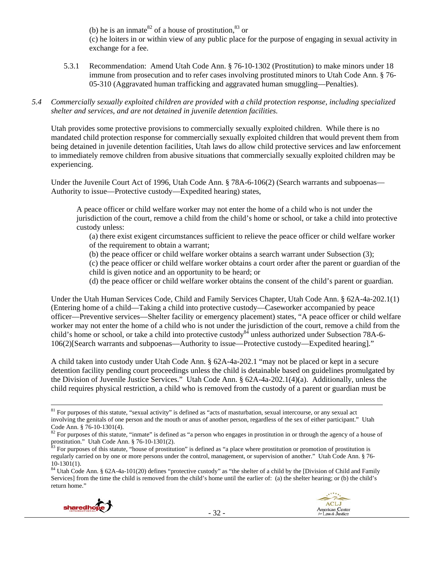(b) he is an inmate<sup>82</sup> of a house of prostitution,  $83$  or (c) he loiters in or within view of any public place for the purpose of engaging in sexual activity in exchange for a fee.

- 5.3.1 Recommendation: Amend Utah Code Ann. § 76-10-1302 (Prostitution) to make minors under 18 immune from prosecution and to refer cases involving prostituted minors to Utah Code Ann. § 76- 05-310 (Aggravated human trafficking and aggravated human smuggling—Penalties).
- *5.4 Commercially sexually exploited children are provided with a child protection response, including specialized shelter and services, and are not detained in juvenile detention facilities.*

Utah provides some protective provisions to commercially sexually exploited children. While there is no mandated child protection response for commercially sexually exploited children that would prevent them from being detained in juvenile detention facilities, Utah laws do allow child protective services and law enforcement to immediately remove children from abusive situations that commercially sexually exploited children may be experiencing.

Under the Juvenile Court Act of 1996, Utah Code Ann. § 78A-6-106(2) (Search warrants and subpoenas— Authority to issue—Protective custody—Expedited hearing) states,

A peace officer or child welfare worker may not enter the home of a child who is not under the jurisdiction of the court, remove a child from the child's home or school, or take a child into protective custody unless:

(a) there exist exigent circumstances sufficient to relieve the peace officer or child welfare worker of the requirement to obtain a warrant;

(b) the peace officer or child welfare worker obtains a search warrant under Subsection (3);

(c) the peace officer or child welfare worker obtains a court order after the parent or guardian of the child is given notice and an opportunity to be heard; or

(d) the peace officer or child welfare worker obtains the consent of the child's parent or guardian.

Under the Utah Human Services Code, Child and Family Services Chapter, Utah Code Ann. § 62A-4a-202.1(1) (Entering home of a child—Taking a child into protective custody—Caseworker accompanied by peace officer—Preventive services—Shelter facility or emergency placement) states, "A peace officer or child welfare worker may not enter the home of a child who is not under the jurisdiction of the court, remove a child from the child's home or school, or take a child into protective custody<sup>84</sup> unless authorized under Subsection 78A-6-106(2)[Search warrants and subpoenas—Authority to issue—Protective custody—Expedited hearing]."

A child taken into custody under Utah Code Ann. § 62A-4a-202.1 "may not be placed or kept in a secure detention facility pending court proceedings unless the child is detainable based on guidelines promulgated by the Division of Juvenile Justice Services." Utah Code Ann. § 62A-4a-202.1(4)(a). Additionally, unless the child requires physical restriction, a child who is removed from the custody of a parent or guardian must be

- 32 -





 $81$  For purposes of this statute, "sexual activity" is defined as "acts of masturbation, sexual intercourse, or any sexual act involving the genitals of one person and the mouth or anus of another person, regardless of the sex of either participant." Utah Code Ann.  $\frac{6}{5}$  76-10-1301(4).

<sup>82</sup> For purposes of this statute, "inmate" is defined as "a person who engages in prostitution in or through the agency of a house of prostitution." Utah Code Ann. § 76-10-1301(2).

<sup>&</sup>lt;sup>83</sup> For purposes of this statute, "house of prostitution" is defined as "a place where prostitution or promotion of prostitution is regularly carried on by one or more persons under the control, management, or supervision of another." Utah Code Ann. § 76- 10-1301(1).

<sup>&</sup>lt;sup>84</sup> Utah Code Ann. § 62A-4a-101(20) defines "protective custody" as "the shelter of a child by the [Division of Child and Family Services] from the time the child is removed from the child's home until the earlier of: (a) the shelter hearing; or (b) the child's return home."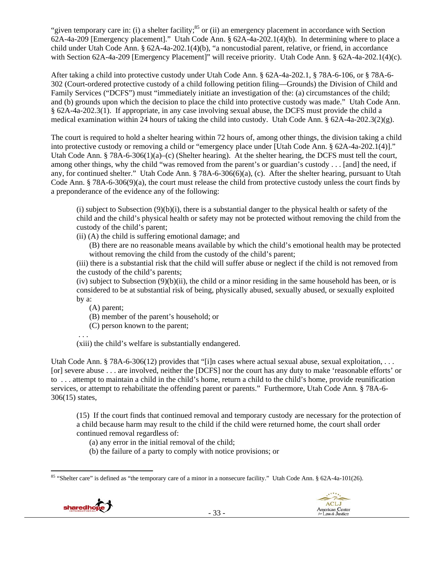"given temporary care in: (i) a shelter facility;<sup>85</sup> or (ii) an emergency placement in accordance with Section 62A-4a-209 [Emergency placement]." Utah Code Ann. § 62A-4a-202.1(4)(b). In determining where to place a child under Utah Code Ann. § 62A-4a-202.1(4)(b), "a noncustodial parent, relative, or friend, in accordance with Section 62A-4a-209 [Emergency Placement]" will receive priority. Utah Code Ann. § 62A-4a-202.1(4)(c).

After taking a child into protective custody under Utah Code Ann. § 62A-4a-202.1, § 78A-6-106, or § 78A-6- 302 (Court-ordered protective custody of a child following petition filing—Grounds) the Division of Child and Family Services ("DCFS") must "immediately initiate an investigation of the: (a) circumstances of the child; and (b) grounds upon which the decision to place the child into protective custody was made." Utah Code Ann. § 62A-4a-202.3(1). If appropriate, in any case involving sexual abuse, the DCFS must provide the child a medical examination within 24 hours of taking the child into custody. Utah Code Ann. § 62A-4a-202.3(2)(g).

The court is required to hold a shelter hearing within 72 hours of, among other things, the division taking a child into protective custody or removing a child or "emergency place under [Utah Code Ann. § 62A-4a-202.1(4)]." Utah Code Ann. § 78A-6-306(1)(a)–(c) (Shelter hearing). At the shelter hearing, the DCFS must tell the court, among other things, why the child "was removed from the parent's or guardian's custody . . . [and] the need, if any, for continued shelter." Utah Code Ann. § 78A-6-306(6)(a), (c). After the shelter hearing, pursuant to Utah Code Ann. § 78A-6-306(9)(a), the court must release the child from protective custody unless the court finds by a preponderance of the evidence any of the following:

(i) subject to Subsection  $(9)(b)(i)$ , there is a substantial danger to the physical health or safety of the child and the child's physical health or safety may not be protected without removing the child from the custody of the child's parent;

(ii) (A) the child is suffering emotional damage; and

(B) there are no reasonable means available by which the child's emotional health may be protected without removing the child from the custody of the child's parent;

(iii) there is a substantial risk that the child will suffer abuse or neglect if the child is not removed from the custody of the child's parents;

(iv) subject to Subsection  $(9)(b)(ii)$ , the child or a minor residing in the same household has been, or is considered to be at substantial risk of being, physically abused, sexually abused, or sexually exploited by a:

(A) parent;

(B) member of the parent's household; or

(C) person known to the parent;

. . .

(xiii) the child's welfare is substantially endangered.

Utah Code Ann. § 78A-6-306(12) provides that "[i]n cases where actual sexual abuse, sexual exploitation, ... [or] severe abuse . . . are involved, neither the [DCFS] nor the court has any duty to make 'reasonable efforts' or to . . . attempt to maintain a child in the child's home, return a child to the child's home, provide reunification services, or attempt to rehabilitate the offending parent or parents." Furthermore, Utah Code Ann. § 78A-6- 306(15) states,

(15) If the court finds that continued removal and temporary custody are necessary for the protection of a child because harm may result to the child if the child were returned home, the court shall order continued removal regardless of:

(a) any error in the initial removal of the child;

(b) the failure of a party to comply with notice provisions; or

 <sup>85</sup> "Shelter care" is defined as "the temporary care of a minor in a nonsecure facility." Utah Code Ann. § 62A-4a-101(26).



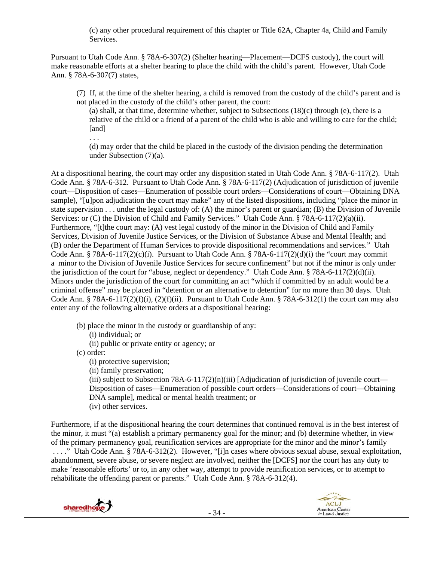(c) any other procedural requirement of this chapter or Title 62A, Chapter 4a, Child and Family Services.

Pursuant to Utah Code Ann. § 78A-6-307(2) (Shelter hearing—Placement—DCFS custody), the court will make reasonable efforts at a shelter hearing to place the child with the child's parent. However, Utah Code Ann. § 78A-6-307(7) states,

(7) If, at the time of the shelter hearing, a child is removed from the custody of the child's parent and is not placed in the custody of the child's other parent, the court:

(a) shall, at that time, determine whether, subject to Subsections  $(18)(c)$  through (e), there is a relative of the child or a friend of a parent of the child who is able and willing to care for the child; [and]

(d) may order that the child be placed in the custody of the division pending the determination under Subsection (7)(a).

At a dispositional hearing, the court may order any disposition stated in Utah Code Ann. § 78A-6-117(2). Utah Code Ann. § 78A-6-312. Pursuant to Utah Code Ann. § 78A-6-117(2) (Adjudication of jurisdiction of juvenile court—Disposition of cases—Enumeration of possible court orders—Considerations of court—Obtaining DNA sample), "[u]pon adjudication the court may make" any of the listed dispositions, including "place the minor in state supervision . . . under the legal custody of: (A) the minor's parent or guardian; (B) the Division of Juvenile Services: or (C) the Division of Child and Family Services." Utah Code Ann. § 78A-6-117(2)(a)(ii). Furthermore, "[t]the court may: (A) vest legal custody of the minor in the Division of Child and Family Services, Division of Juvenile Justice Services, or the Division of Substance Abuse and Mental Health; and (B) order the Department of Human Services to provide dispositional recommendations and services." Utah Code Ann. § 78A-6-117(2)(c)(i). Pursuant to Utah Code Ann. § 78A-6-117(2)(d)(i) the "court may commit a minor to the Division of Juvenile Justice Services for secure confinement" but not if the minor is only under the jurisdiction of the court for "abuse, neglect or dependency." Utah Code Ann. § 78A-6-117(2)(d)(ii). Minors under the jurisdiction of the court for committing an act "which if committed by an adult would be a criminal offense" may be placed in "detention or an alternative to detention" for no more than 30 days. Utah Code Ann. § 78A-6-117(2)(f)(i), (2)(f)(ii). Pursuant to Utah Code Ann. § 78A-6-312(1) the court can may also enter any of the following alternative orders at a dispositional hearing:

(b) place the minor in the custody or guardianship of any:

(i) individual; or

(ii) public or private entity or agency; or

(c) order:

. . .

(i) protective supervision;

(ii) family preservation;

(iii) subject to Subsection 78A-6-117(2)(n)(iii) [Adjudication of jurisdiction of juvenile court— Disposition of cases—Enumeration of possible court orders—Considerations of court—Obtaining DNA sample], medical or mental health treatment; or (iv) other services.

Furthermore, if at the dispositional hearing the court determines that continued removal is in the best interest of the minor, it must "(a) establish a primary permanency goal for the minor; and (b) determine whether, in view of the primary permanency goal, reunification services are appropriate for the minor and the minor's family . . . ." Utah Code Ann. § 78A-6-312(2). However, "[i]n cases where obvious sexual abuse, sexual exploitation, abandonment, severe abuse, or severe neglect are involved, neither the [DCFS] nor the court has any duty to make 'reasonable efforts' or to, in any other way, attempt to provide reunification services, or to attempt to rehabilitate the offending parent or parents." Utah Code Ann. § 78A-6-312(4).



ACLJ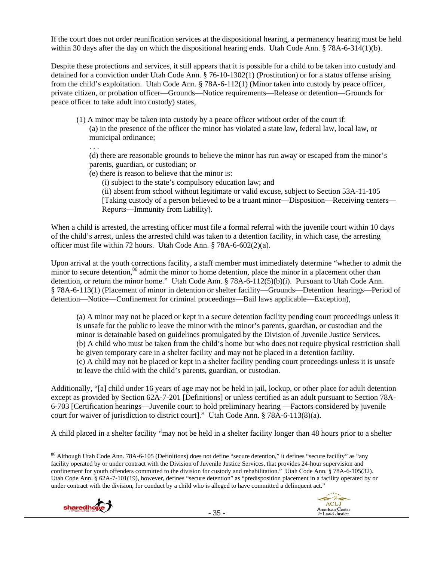If the court does not order reunification services at the dispositional hearing, a permanency hearing must be held within 30 days after the day on which the dispositional hearing ends. Utah Code Ann. § 78A-6-314(1)(b).

Despite these protections and services, it still appears that it is possible for a child to be taken into custody and detained for a conviction under Utah Code Ann. § 76-10-1302(1) (Prostitution) or for a status offense arising from the child's exploitation. Utah Code Ann. § 78A-6-112(1) (Minor taken into custody by peace officer, private citizen, or probation officer—Grounds—Notice requirements—Release or detention—Grounds for peace officer to take adult into custody) states,

(1) A minor may be taken into custody by a peace officer without order of the court if: (a) in the presence of the officer the minor has violated a state law, federal law, local law, or municipal ordinance;

(d) there are reasonable grounds to believe the minor has run away or escaped from the minor's parents, guardian, or custodian; or

(e) there is reason to believe that the minor is:

. . .

(i) subject to the state's compulsory education law; and

(ii) absent from school without legitimate or valid excuse, subject to Section 53A-11-105 [Taking custody of a person believed to be a truant minor—Disposition—Receiving centers— Reports—Immunity from liability).

When a child is arrested, the arresting officer must file a formal referral with the juvenile court within 10 days of the child's arrest, unless the arrested child was taken to a detention facility, in which case, the arresting officer must file within 72 hours. Utah Code Ann. § 78A-6-602(2)(a).

Upon arrival at the youth corrections facility, a staff member must immediately determine "whether to admit the minor to secure detention,<sup>86</sup> admit the minor to home detention, place the minor in a placement other than detention, or return the minor home." Utah Code Ann. § 78A-6-112(5)(b)(i). Pursuant to Utah Code Ann. § 78A-6-113(1) (Placement of minor in detention or shelter facility—Grounds—Detention hearings—Period of detention—Notice—Confinement for criminal proceedings—Bail laws applicable—Exception),

(a) A minor may not be placed or kept in a secure detention facility pending court proceedings unless it is unsafe for the public to leave the minor with the minor's parents, guardian, or custodian and the minor is detainable based on guidelines promulgated by the Division of Juvenile Justice Services. (b) A child who must be taken from the child's home but who does not require physical restriction shall be given temporary care in a shelter facility and may not be placed in a detention facility. (c) A child may not be placed or kept in a shelter facility pending court proceedings unless it is unsafe to leave the child with the child's parents, guardian, or custodian.

Additionally, "[a] child under 16 years of age may not be held in jail, lockup, or other place for adult detention except as provided by Section 62A-7-201 [Definitions] or unless certified as an adult pursuant to Section 78A-6-703 [Certification hearings—Juvenile court to hold preliminary hearing —Factors considered by juvenile court for waiver of jurisdiction to district court]." Utah Code Ann. § 78A-6-113(8)(a).

A child placed in a shelter facility "may not be held in a shelter facility longer than 48 hours prior to a shelter

 <sup>86</sup> Although Utah Code Ann. 78A-6-105 (Definitions) does not define "secure detention," it defines "secure facility" as "any facility operated by or under contract with the Division of Juvenile Justice Services, that provides 24-hour supervision and confinement for youth offenders committed to the division for custody and rehabilitation." Utah Code Ann. § 78A-6-105(32). Utah Code Ann. § 62A-7-101(19), however, defines "secure detention" as "predisposition placement in a facility operated by or under contract with the division, for conduct by a child who is alleged to have committed a delinquent act."



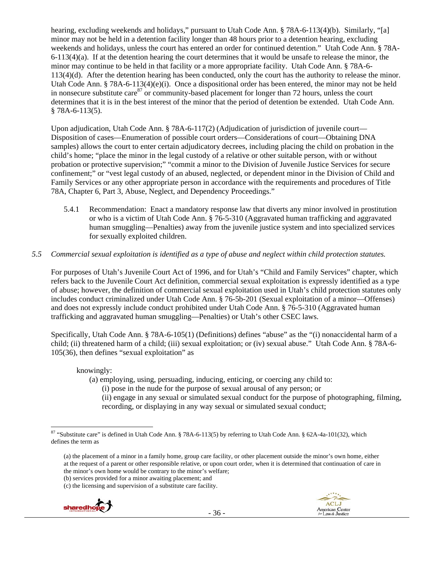hearing, excluding weekends and holidays," pursuant to Utah Code Ann. § 78A-6-113(4)(b). Similarly, "[a] minor may not be held in a detention facility longer than 48 hours prior to a detention hearing, excluding weekends and holidays, unless the court has entered an order for continued detention." Utah Code Ann. § 78A-6-113(4)(a). If at the detention hearing the court determines that it would be unsafe to release the minor, the minor may continue to be held in that facility or a more appropriate facility. Utah Code Ann. § 78A-6- 113(4)(d). After the detention hearing has been conducted, only the court has the authority to release the minor. Utah Code Ann. § 78A-6-113(4)(e)(i). Once a dispositional order has been entered, the minor may not be held in nonsecure substitute care  $87$  or community-based placement for longer than 72 hours, unless the court determines that it is in the best interest of the minor that the period of detention be extended. Utah Code Ann. § 78A-6-113(5).

Upon adjudication, Utah Code Ann. § 78A-6-117(2) (Adjudication of jurisdiction of juvenile court— Disposition of cases—Enumeration of possible court orders—Considerations of court—Obtaining DNA samples) allows the court to enter certain adjudicatory decrees, including placing the child on probation in the child's home; "place the minor in the legal custody of a relative or other suitable person, with or without probation or protective supervision;" "commit a minor to the Division of Juvenile Justice Services for secure confinement;" or "vest legal custody of an abused, neglected, or dependent minor in the Division of Child and Family Services or any other appropriate person in accordance with the requirements and procedures of Title 78A, Chapter 6, Part 3, Abuse, Neglect, and Dependency Proceedings."

5.4.1 Recommendation: Enact a mandatory response law that diverts any minor involved in prostitution or who is a victim of Utah Code Ann. § 76-5-310 (Aggravated human trafficking and aggravated human smuggling—Penalties) away from the juvenile justice system and into specialized services for sexually exploited children.

### *5.5 Commercial sexual exploitation is identified as a type of abuse and neglect within child protection statutes.*

For purposes of Utah's Juvenile Court Act of 1996, and for Utah's "Child and Family Services" chapter, which refers back to the Juvenile Court Act definition, commercial sexual exploitation is expressly identified as a type of abuse; however, the definition of commercial sexual exploitation used in Utah's child protection statutes only includes conduct criminalized under Utah Code Ann. § 76-5b-201 (Sexual exploitation of a minor—Offenses) and does not expressly include conduct prohibited under Utah Code Ann. § 76-5-310 (Aggravated human trafficking and aggravated human smuggling—Penalties) or Utah's other CSEC laws.

Specifically, Utah Code Ann. § 78A-6-105(1) (Definitions) defines "abuse" as the "(i) nonaccidental harm of a child; (ii) threatened harm of a child; (iii) sexual exploitation; or (iv) sexual abuse." Utah Code Ann. § 78A-6- 105(36), then defines "sexual exploitation" as

knowingly:

- (a) employing, using, persuading, inducing, enticing, or coercing any child to:
	- (i) pose in the nude for the purpose of sexual arousal of any person; or
	- (ii) engage in any sexual or simulated sexual conduct for the purpose of photographing, filming, recording, or displaying in any way sexual or simulated sexual conduct;

<sup>(</sup>c) the licensing and supervision of a substitute care facility.





<sup>&</sup>lt;sup>87</sup> "Substitute care" is defined in Utah Code Ann. § 78A-6-113(5) by referring to Utah Code Ann. § 62A-4a-101(32), which defines the term as

<sup>(</sup>a) the placement of a minor in a family home, group care facility, or other placement outside the minor's own home, either at the request of a parent or other responsible relative, or upon court order, when it is determined that continuation of care in the minor's own home would be contrary to the minor's welfare;

<sup>(</sup>b) services provided for a minor awaiting placement; and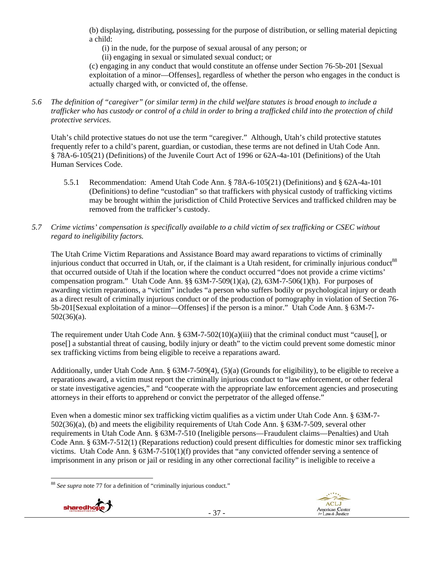(b) displaying, distributing, possessing for the purpose of distribution, or selling material depicting a child:

(i) in the nude, for the purpose of sexual arousal of any person; or

(ii) engaging in sexual or simulated sexual conduct; or

(c) engaging in any conduct that would constitute an offense under Section 76-5b-201 [Sexual exploitation of a minor—Offenses], regardless of whether the person who engages in the conduct is actually charged with, or convicted of, the offense.

*5.6 The definition of "caregiver" (or similar term) in the child welfare statutes is broad enough to include a trafficker who has custody or control of a child in order to bring a trafficked child into the protection of child protective services.* 

Utah's child protective statues do not use the term "caregiver." Although, Utah's child protective statutes frequently refer to a child's parent, guardian, or custodian, these terms are not defined in Utah Code Ann. § 78A-6-105(21) (Definitions) of the Juvenile Court Act of 1996 or 62A-4a-101 (Definitions) of the Utah Human Services Code.

- 5.5.1 Recommendation: Amend Utah Code Ann. § 78A-6-105(21) (Definitions) and § 62A-4a-101 (Definitions) to define "custodian" so that traffickers with physical custody of trafficking victims may be brought within the jurisdiction of Child Protective Services and trafficked children may be removed from the trafficker's custody.
- *5.7 Crime victims' compensation is specifically available to a child victim of sex trafficking or CSEC without regard to ineligibility factors.*

The Utah Crime Victim Reparations and Assistance Board may award reparations to victims of criminally injurious conduct that occurred in Utah, or, if the claimant is a Utah resident, for criminally injurious conduct<sup>88</sup> that occurred outside of Utah if the location where the conduct occurred "does not provide a crime victims' compensation program." Utah Code Ann. §§  $63M-7-509(1)(a)$ ,  $(2)$ ,  $63M-7-506(1)(h)$ . For purposes of awarding victim reparations, a "victim" includes "a person who suffers bodily or psychological injury or death as a direct result of criminally injurious conduct or of the production of pornography in violation of Section 76- 5b-201[Sexual exploitation of a minor—Offenses] if the person is a minor." Utah Code Ann. § 63M-7- 502(36)(a).

The requirement under Utah Code Ann. § 63M-7-502(10)(a)(iii) that the criminal conduct must "cause[], or pose[] a substantial threat of causing, bodily injury or death" to the victim could prevent some domestic minor sex trafficking victims from being eligible to receive a reparations award.

Additionally, under Utah Code Ann. § 63M-7-509(4), (5)(a) (Grounds for eligibility), to be eligible to receive a reparations award, a victim must report the criminally injurious conduct to "law enforcement, or other federal or state investigative agencies," and "cooperate with the appropriate law enforcement agencies and prosecuting attorneys in their efforts to apprehend or convict the perpetrator of the alleged offense."

Even when a domestic minor sex trafficking victim qualifies as a victim under Utah Code Ann. § 63M-7- 502(36)(a), (b) and meets the eligibility requirements of Utah Code Ann. § 63M-7-509, several other requirements in Utah Code Ann. § 63M-7-510 (Ineligible persons—Fraudulent claims—Penalties) and Utah Code Ann. § 63M-7-512(1) (Reparations reduction) could present difficulties for domestic minor sex trafficking victims. Utah Code Ann. § 63M-7-510(1)(f) provides that "any convicted offender serving a sentence of imprisonment in any prison or jail or residing in any other correctional facility" is ineligible to receive a

 <sup>88</sup> *See supra* note 77 for a definition of "criminally injurious conduct."



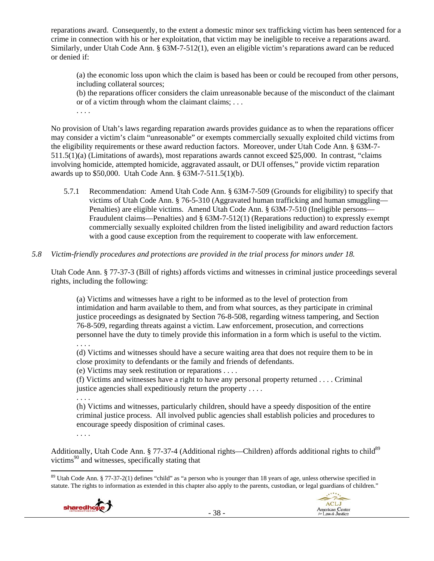reparations award. Consequently, to the extent a domestic minor sex trafficking victim has been sentenced for a crime in connection with his or her exploitation, that victim may be ineligible to receive a reparations award. Similarly, under Utah Code Ann. § 63M-7-512(1), even an eligible victim's reparations award can be reduced or denied if:

(a) the economic loss upon which the claim is based has been or could be recouped from other persons, including collateral sources;

(b) the reparations officer considers the claim unreasonable because of the misconduct of the claimant or of a victim through whom the claimant claims; . . .

. . . .

No provision of Utah's laws regarding reparation awards provides guidance as to when the reparations officer may consider a victim's claim "unreasonable" or exempts commercially sexually exploited child victims from the eligibility requirements or these award reduction factors. Moreover, under Utah Code Ann. § 63M-7- 511.5(1)(a) (Limitations of awards), most reparations awards cannot exceed \$25,000. In contrast, "claims involving homicide, attempted homicide, aggravated assault, or DUI offenses," provide victim reparation awards up to \$50,000. Utah Code Ann. § 63M-7-511.5(1)(b).

- 5.7.1 Recommendation: Amend Utah Code Ann. § 63M-7-509 (Grounds for eligibility) to specify that victims of Utah Code Ann. § 76-5-310 (Aggravated human trafficking and human smuggling— Penalties) are eligible victims. Amend Utah Code Ann. § 63M-7-510 (Ineligible persons— Fraudulent claims—Penalties) and § 63M-7-512(1) (Reparations reduction) to expressly exempt commercially sexually exploited children from the listed ineligibility and award reduction factors with a good cause exception from the requirement to cooperate with law enforcement.
- *5.8 Victim-friendly procedures and protections are provided in the trial process for minors under 18.*

Utah Code Ann. § 77-37-3 (Bill of rights) affords victims and witnesses in criminal justice proceedings several rights, including the following:

(a) Victims and witnesses have a right to be informed as to the level of protection from intimidation and harm available to them, and from what sources, as they participate in criminal justice proceedings as designated by Section 76-8-508, regarding witness tampering, and Section 76-8-509, regarding threats against a victim. Law enforcement, prosecution, and corrections personnel have the duty to timely provide this information in a form which is useful to the victim. . . . .

(d) Victims and witnesses should have a secure waiting area that does not require them to be in close proximity to defendants or the family and friends of defendants.

(e) Victims may seek restitution or reparations . . . .

(f) Victims and witnesses have a right to have any personal property returned . . . . Criminal justice agencies shall expeditiously return the property . . . .

. . . .

(h) Victims and witnesses, particularly children, should have a speedy disposition of the entire criminal justice process. All involved public agencies shall establish policies and procedures to encourage speedy disposition of criminal cases.

. . . .

Additionally, Utah Code Ann. § 77-37-4 (Additional rights—Children) affords additional rights to child<sup>89</sup> victims $90$  and witnesses, specifically stating that

 <sup>89</sup> Utah Code Ann. § 77-37-2(1) defines "child" as "a person who is younger than 18 years of age, unless otherwise specified in statute. The rights to information as extended in this chapter also apply to the parents, custodian, or legal guardians of children."



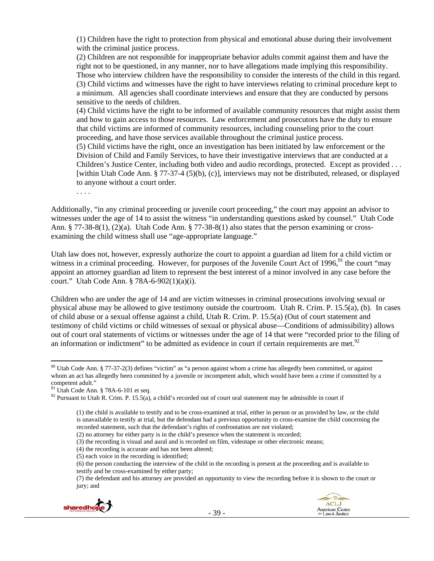(1) Children have the right to protection from physical and emotional abuse during their involvement with the criminal justice process.

(2) Children are not responsible for inappropriate behavior adults commit against them and have the right not to be questioned, in any manner, nor to have allegations made implying this responsibility. Those who interview children have the responsibility to consider the interests of the child in this regard. (3) Child victims and witnesses have the right to have interviews relating to criminal procedure kept to a minimum. All agencies shall coordinate interviews and ensure that they are conducted by persons sensitive to the needs of children.

(4) Child victims have the right to be informed of available community resources that might assist them and how to gain access to those resources. Law enforcement and prosecutors have the duty to ensure that child victims are informed of community resources, including counseling prior to the court proceeding, and have those services available throughout the criminal justice process.

(5) Child victims have the right, once an investigation has been initiated by law enforcement or the Division of Child and Family Services, to have their investigative interviews that are conducted at a Children's Justice Center, including both video and audio recordings, protected. Except as provided . . . [within Utah Code Ann. § 77-37-4 (5)(b), (c)], interviews may not be distributed, released, or displayed to anyone without a court order.

. . . .

Additionally, "in any criminal proceeding or juvenile court proceeding," the court may appoint an advisor to witnesses under the age of 14 to assist the witness "in understanding questions asked by counsel." Utah Code Ann. § 77-38-8(1), (2)(a). Utah Code Ann. § 77-38-8(1) also states that the person examining or crossexamining the child witness shall use "age-appropriate language."

Utah law does not, however, expressly authorize the court to appoint a guardian ad litem for a child victim or witness in a criminal proceeding. However, for purposes of the Juvenile Court Act of  $1996<sup>91</sup>$ , the court "may appoint an attorney guardian ad litem to represent the best interest of a minor involved in any case before the court." Utah Code Ann. § 78A-6-902(1)(a)(i).

Children who are under the age of 14 and are victim witnesses in criminal prosecutions involving sexual or physical abuse may be allowed to give testimony outside the courtroom. Utah R. Crim. P. 15.5(a), (b). In cases of child abuse or a sexual offense against a child, Utah R. Crim. P. 15.5(a) (Out of court statement and testimony of child victims or child witnesses of sexual or physical abuse—Conditions of admissibility) allows out of court oral statements of victims or witnesses under the age of 14 that were "recorded prior to the filing of an information or indictment" to be admitted as evidence in court if certain requirements are met.<sup>92</sup>

(3) the recording is visual and aural and is recorded on film, videotape or other electronic means;

- (4) the recording is accurate and has not been altered;
- (5) each voice in the recording is identified;
- (6) the person conducting the interview of the child in the recording is present at the proceeding and is available to testify and be cross-examined by either party;

<sup>(7)</sup> the defendant and his attorney are provided an opportunity to view the recording before it is shown to the court or jury; and



 $90$  Utah Code Ann. § 77-37-2(3) defines "victim" as "a person against whom a crime has allegedly been committed, or against whom an act has allegedly been committed by a juvenile or incompetent adult, which would have been a crime if committed by a competent adult."

 $91$  Utah Code Ann. § 78A-6-101 et seq.

 $92$  Pursuant to Utah R. Crim. P. 15.5(a), a child's recorded out of court oral statement may be admissible in court if

<sup>(1)</sup> the child is available to testify and to be cross-examined at trial, either in person or as provided by law, or the child is unavailable to testify at trial, but the defendant had a previous opportunity to cross-examine the child concerning the recorded statement, such that the defendant's rights of confrontation are not violated;

<sup>(2)</sup> no attorney for either party is in the child's presence when the statement is recorded;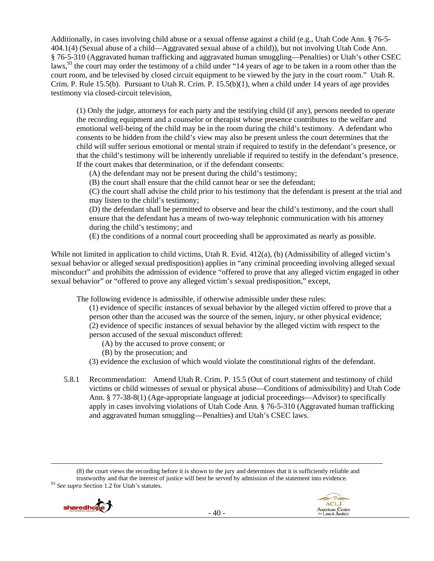Additionally, in cases involving child abuse or a sexual offense against a child (e.g., Utah Code Ann. § 76-5- 404.1(4) (Sexual abuse of a child—Aggravated sexual abuse of a child)), but not involving Utah Code Ann. § 76-5-310 (Aggravated human trafficking and aggravated human smuggling—Penalties) or Utah's other CSEC laws,<sup>93</sup> the court may order the testimony of a child under "14 years of age to be taken in a room other than the court room, and be televised by closed circuit equipment to be viewed by the jury in the court room." Utah R. Crim. P. Rule 15.5(b). Pursuant to Utah R. Crim. P. 15.5(b)(1), when a child under 14 years of age provides testimony via closed-circuit television,

(1) Only the judge, attorneys for each party and the testifying child (if any), persons needed to operate the recording equipment and a counselor or therapist whose presence contributes to the welfare and emotional well-being of the child may be in the room during the child's testimony. A defendant who consents to be hidden from the child's view may also be present unless the court determines that the child will suffer serious emotional or mental strain if required to testify in the defendant's presence, or that the child's testimony will be inherently unreliable if required to testify in the defendant's presence. If the court makes that determination, or if the defendant consents:

(A) the defendant may not be present during the child's testimony;

(B) the court shall ensure that the child cannot hear or see the defendant;

(C) the court shall advise the child prior to his testimony that the defendant is present at the trial and may listen to the child's testimony;

(D) the defendant shall be permitted to observe and hear the child's testimony, and the court shall ensure that the defendant has a means of two-way telephonic communication with his attorney during the child's testimony; and

(E) the conditions of a normal court proceeding shall be approximated as nearly as possible.

While not limited in application to child victims, Utah R. Evid. 412(a), (b) (Admissibility of alleged victim's sexual behavior or alleged sexual predisposition) applies in "any criminal proceeding involving alleged sexual misconduct" and prohibits the admission of evidence "offered to prove that any alleged victim engaged in other sexual behavior" or "offered to prove any alleged victim's sexual predisposition," except,

The following evidence is admissible, if otherwise admissible under these rules:

(1) evidence of specific instances of sexual behavior by the alleged victim offered to prove that a person other than the accused was the source of the semen, injury, or other physical evidence; (2) evidence of specific instances of sexual behavior by the alleged victim with respect to the person accused of the sexual misconduct offered:

- (A) by the accused to prove consent; or
- (B) by the prosecution; and
- (3) evidence the exclusion of which would violate the constitutional rights of the defendant.
- 5.8.1 Recommendation: Amend Utah R. Crim. P. 15.5 (Out of court statement and testimony of child victims or child witnesses of sexual or physical abuse—Conditions of admissibility) and Utah Code Ann. § 77-38-8(1) (Age-appropriate language at judicial proceedings—Advisor) to specifically apply in cases involving violations of Utah Code Ann. § 76-5-310 (Aggravated human trafficking and aggravated human smuggling—Penalties) and Utah's CSEC laws.

<sup>(8)</sup> the court views the recording before it is shown to the jury and determines that it is sufficiently reliable and trustworthy and that the interest of justice will best be served by admission of the statement into evidence. 93 *See supra* Section 1.2 for Utah's statutes.



<u> 1989 - Johann Stein, marwolaethau a gweledydd a ganlad y ganlad y ganlad y ganlad y ganlad y ganlad y ganlad</u>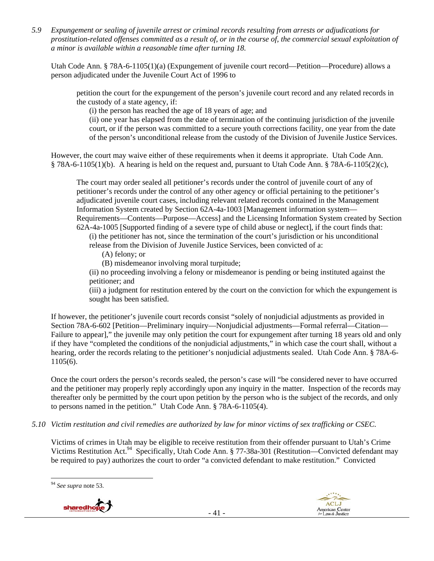*5.9 Expungement or sealing of juvenile arrest or criminal records resulting from arrests or adjudications for prostitution-related offenses committed as a result of, or in the course of, the commercial sexual exploitation of a minor is available within a reasonable time after turning 18.* 

Utah Code Ann. § 78A-6-1105(1)(a) (Expungement of juvenile court record—Petition—Procedure) allows a person adjudicated under the Juvenile Court Act of 1996 to

petition the court for the expungement of the person's juvenile court record and any related records in the custody of a state agency, if:

(i) the person has reached the age of 18 years of age; and

(ii) one year has elapsed from the date of termination of the continuing jurisdiction of the juvenile court, or if the person was committed to a secure youth corrections facility, one year from the date of the person's unconditional release from the custody of the Division of Juvenile Justice Services.

However, the court may waive either of these requirements when it deems it appropriate. Utah Code Ann. § 78A-6-1105(1)(b). A hearing is held on the request and, pursuant to Utah Code Ann. § 78A-6-1105(2)(c),

The court may order sealed all petitioner's records under the control of juvenile court of any of petitioner's records under the control of any other agency or official pertaining to the petitioner's adjudicated juvenile court cases, including relevant related records contained in the Management Information System created by Section 62A-4a-1003 [Management information system— Requirements—Contents—Purpose—Access] and the Licensing Information System created by Section 62A-4a-1005 [Supported finding of a severe type of child abuse or neglect], if the court finds that: (i) the petitioner has not, since the termination of the court's jurisdiction or his unconditional release from the Division of Juvenile Justice Services, been convicted of a:

(A) felony; or

(B) misdemeanor involving moral turpitude;

(ii) no proceeding involving a felony or misdemeanor is pending or being instituted against the petitioner; and

(iii) a judgment for restitution entered by the court on the conviction for which the expungement is sought has been satisfied.

If however, the petitioner's juvenile court records consist "solely of nonjudicial adjustments as provided in Section 78A-6-602 [Petition—Preliminary inquiry—Nonjudicial adjustments—Formal referral—Citation— Failure to appear]," the juvenile may only petition the court for expungement after turning 18 years old and only if they have "completed the conditions of the nonjudicial adjustments," in which case the court shall, without a hearing, order the records relating to the petitioner's nonjudicial adjustments sealed. Utah Code Ann. § 78A-6- 1105(6).

Once the court orders the person's records sealed, the person's case will "be considered never to have occurred and the petitioner may properly reply accordingly upon any inquiry in the matter. Inspection of the records may thereafter only be permitted by the court upon petition by the person who is the subject of the records, and only to persons named in the petition." Utah Code Ann. § 78A-6-1105(4).

*5.10 Victim restitution and civil remedies are authorized by law for minor victims of sex trafficking or CSEC.* 

Victims of crimes in Utah may be eligible to receive restitution from their offender pursuant to Utah's Crime Victims Restitution Act.<sup>94</sup> Specifically, Utah Code Ann. § 77-38a-301 (Restitution—Convicted defendant may be required to pay) authorizes the court to order "a convicted defendant to make restitution." Convicted

 <sup>94</sup> *See supra* note 53.

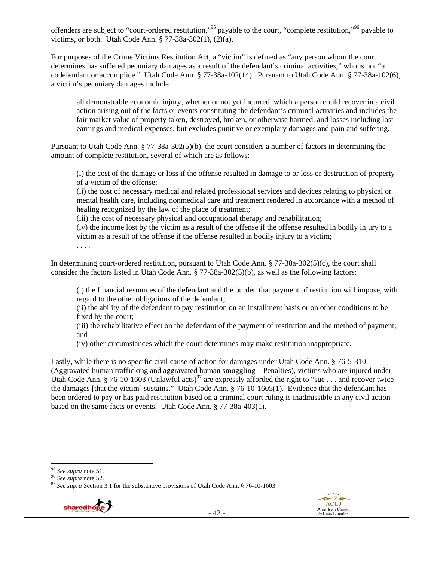offenders are subject to "court-ordered restitution,"95 payable to the court, "complete restitution,"96 payable to victims, or both. Utah Code Ann.  $\S 77-38a-302(1)$ ,  $(2)(a)$ .

For purposes of the Crime Victims Restitution Act, a "victim" is defined as "any person whom the court determines has suffered pecuniary damages as a result of the defendant's criminal activities," who is not "a codefendant or accomplice." Utah Code Ann. § 77-38a-102(14). Pursuant to Utah Code Ann. § 77-38a-102(6), a victim's pecuniary damages include

all demonstrable economic injury, whether or not yet incurred, which a person could recover in a civil action arising out of the facts or events constituting the defendant's criminal activities and includes the fair market value of property taken, destroyed, broken, or otherwise harmed, and losses including lost earnings and medical expenses, but excludes punitive or exemplary damages and pain and suffering.

Pursuant to Utah Code Ann. § 77-38a-302(5)(b), the court considers a number of factors in determining the amount of complete restitution, several of which are as follows:

(i) the cost of the damage or loss if the offense resulted in damage to or loss or destruction of property of a victim of the offense;

(ii) the cost of necessary medical and related professional services and devices relating to physical or mental health care, including nonmedical care and treatment rendered in accordance with a method of healing recognized by the law of the place of treatment;

(iii) the cost of necessary physical and occupational therapy and rehabilitation;

(iv) the income lost by the victim as a result of the offense if the offense resulted in bodily injury to a victim as a result of the offense if the offense resulted in bodily injury to a victim;

. . . .

In determining court-ordered restitution, pursuant to Utah Code Ann. § 77-38a-302(5)(c), the court shall consider the factors listed in Utah Code Ann. § 77-38a-302(5)(b), as well as the following factors:

(i) the financial resources of the defendant and the burden that payment of restitution will impose, with regard to the other obligations of the defendant;

(ii) the ability of the defendant to pay restitution on an installment basis or on other conditions to be fixed by the court;

(iii) the rehabilitative effect on the defendant of the payment of restitution and the method of payment; and

(iv) other circumstances which the court determines may make restitution inappropriate.

Lastly, while there is no specific civil cause of action for damages under Utah Code Ann. § 76-5-310 (Aggravated human trafficking and aggravated human smuggling—Penalties), victims who are injured under Utah Code Ann. § 76-10-1603 (Unlawful acts)<sup>97</sup> are expressly afforded the right to "sue . . . and recover twice the damages [that the victim] sustains." Utah Code Ann. § 76-10-1605(1). Evidence that the defendant has been ordered to pay or has paid restitution based on a criminal court ruling is inadmissible in any civil action based on the same facts or events. Utah Code Ann. § 77-38a-403(1).

<sup>&</sup>lt;sup>95</sup> See supra note 51.<br><sup>96</sup> See supra note 52.<br><sup>97</sup> See supra Section 3.1 for the substantive provisions of Utah Code Ann. § 76-10-1603.

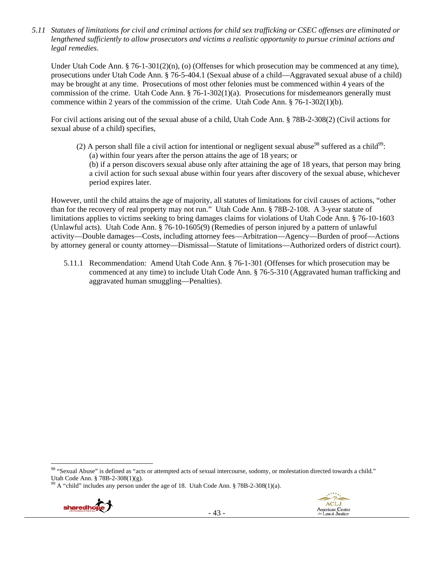*5.11 Statutes of limitations for civil and criminal actions for child sex trafficking or CSEC offenses are eliminated or lengthened sufficiently to allow prosecutors and victims a realistic opportunity to pursue criminal actions and legal remedies.* 

Under Utah Code Ann. § 76-1-301(2)(n), (o) (Offenses for which prosecution may be commenced at any time), prosecutions under Utah Code Ann. § 76-5-404.1 (Sexual abuse of a child—Aggravated sexual abuse of a child) may be brought at any time. Prosecutions of most other felonies must be commenced within 4 years of the commission of the crime. Utah Code Ann. § 76-1-302(1)(a). Prosecutions for misdemeanors generally must commence within 2 years of the commission of the crime. Utah Code Ann. § 76-1-302(1)(b).

For civil actions arising out of the sexual abuse of a child, Utah Code Ann. § 78B-2-308(2) (Civil actions for sexual abuse of a child) specifies,

(2) A person shall file a civil action for intentional or negligent sexual abuse<sup>98</sup> suffered as a child<sup>99</sup>: (a) within four years after the person attains the age of 18 years; or (b) if a person discovers sexual abuse only after attaining the age of 18 years, that person may bring a civil action for such sexual abuse within four years after discovery of the sexual abuse, whichever period expires later.

However, until the child attains the age of majority, all statutes of limitations for civil causes of actions, "other than for the recovery of real property may not run." Utah Code Ann. § 78B-2-108. A 3-year statute of limitations applies to victims seeking to bring damages claims for violations of Utah Code Ann. § 76-10-1603 (Unlawful acts). Utah Code Ann. § 76-10-1605(9) (Remedies of person injured by a pattern of unlawful activity—Double damages—Costs, including attorney fees—Arbitration—Agency—Burden of proof—Actions by attorney general or county attorney—Dismissal—Statute of limitations—Authorized orders of district court).

5.11.1 Recommendation: Amend Utah Code Ann. § 76-1-301 (Offenses for which prosecution may be commenced at any time) to include Utah Code Ann. § 76-5-310 (Aggravated human trafficking and aggravated human smuggling—Penalties).

 $99$  A "child" includes any person under the age of 18. Utah Code Ann. § 78B-2-308(1)(a).



 98 "Sexual Abuse" is defined as "acts or attempted acts of sexual intercourse, sodomy, or molestation directed towards a child." Utah Code Ann. § 78B-2-308(1)(g).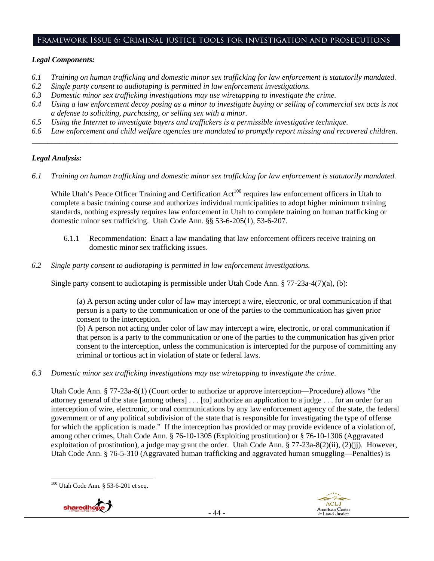#### Framework Issue 6: Criminal justice tools for investigation and prosecutions

### *Legal Components:*

- *6.1 Training on human trafficking and domestic minor sex trafficking for law enforcement is statutorily mandated.*
- *6.2 Single party consent to audiotaping is permitted in law enforcement investigations.*
- *6.3 Domestic minor sex trafficking investigations may use wiretapping to investigate the crime.*
- *6.4 Using a law enforcement decoy posing as a minor to investigate buying or selling of commercial sex acts is not a defense to soliciting, purchasing, or selling sex with a minor.*
- *6.5 Using the Internet to investigate buyers and traffickers is a permissible investigative technique.*
- *6.6 Law enforcement and child welfare agencies are mandated to promptly report missing and recovered children. \_\_\_\_\_\_\_\_\_\_\_\_\_\_\_\_\_\_\_\_\_\_\_\_\_\_\_\_\_\_\_\_\_\_\_\_\_\_\_\_\_\_\_\_\_\_\_\_\_\_\_\_\_\_\_\_\_\_\_\_\_\_\_\_\_\_\_\_\_\_\_\_\_\_\_\_\_\_\_\_\_\_\_\_\_\_\_\_\_\_\_\_\_\_*

## *Legal Analysis:*

*6.1 Training on human trafficking and domestic minor sex trafficking for law enforcement is statutorily mandated.*

While Utah's Peace Officer Training and Certification Act<sup>100</sup> requires law enforcement officers in Utah to complete a basic training course and authorizes individual municipalities to adopt higher minimum training standards, nothing expressly requires law enforcement in Utah to complete training on human trafficking or domestic minor sex trafficking. Utah Code Ann. §§ 53-6-205(1), 53-6-207.

- 6.1.1 Recommendation: Enact a law mandating that law enforcement officers receive training on domestic minor sex trafficking issues.
- *6.2 Single party consent to audiotaping is permitted in law enforcement investigations.*

Single party consent to audiotaping is permissible under Utah Code Ann.  $\S 77-23a-4(7)(a)$ , (b):

(a) A person acting under color of law may intercept a wire, electronic, or oral communication if that person is a party to the communication or one of the parties to the communication has given prior consent to the interception.

(b) A person not acting under color of law may intercept a wire, electronic, or oral communication if that person is a party to the communication or one of the parties to the communication has given prior consent to the interception, unless the communication is intercepted for the purpose of committing any criminal or tortious act in violation of state or federal laws.

*6.3 Domestic minor sex trafficking investigations may use wiretapping to investigate the crime.* 

Utah Code Ann. § 77-23a-8(1) (Court order to authorize or approve interception—Procedure) allows "the attorney general of the state [among others] . . . [to] authorize an application to a judge . . . for an order for an interception of wire, electronic, or oral communications by any law enforcement agency of the state, the federal government or of any political subdivision of the state that is responsible for investigating the type of offense for which the application is made." If the interception has provided or may provide evidence of a violation of, among other crimes, Utah Code Ann. § 76-10-1305 (Exploiting prostitution) or § 76-10-1306 (Aggravated exploitation of prostitution), a judge may grant the order. Utah Code Ann. § 77-23a-8(2)(ii), (2)(jj). However, Utah Code Ann. § 76-5-310 (Aggravated human trafficking and aggravated human smuggling—Penalties) is

 <sup>100</sup> Utah Code Ann. § 53-6-201 et seq.



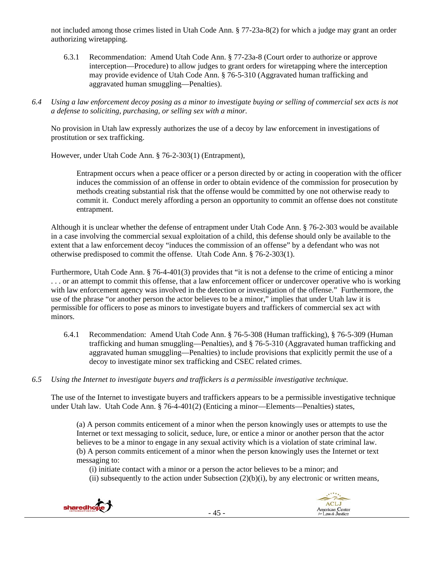not included among those crimes listed in Utah Code Ann. § 77-23a-8(2) for which a judge may grant an order authorizing wiretapping.

- 6.3.1 Recommendation: Amend Utah Code Ann. § 77-23a-8 (Court order to authorize or approve interception—Procedure) to allow judges to grant orders for wiretapping where the interception may provide evidence of Utah Code Ann. § 76-5-310 (Aggravated human trafficking and aggravated human smuggling—Penalties).
- *6.4 Using a law enforcement decoy posing as a minor to investigate buying or selling of commercial sex acts is not a defense to soliciting, purchasing, or selling sex with a minor.*

No provision in Utah law expressly authorizes the use of a decoy by law enforcement in investigations of prostitution or sex trafficking.

However, under Utah Code Ann. § 76-2-303(1) (Entrapment),

Entrapment occurs when a peace officer or a person directed by or acting in cooperation with the officer induces the commission of an offense in order to obtain evidence of the commission for prosecution by methods creating substantial risk that the offense would be committed by one not otherwise ready to commit it. Conduct merely affording a person an opportunity to commit an offense does not constitute entrapment.

Although it is unclear whether the defense of entrapment under Utah Code Ann. § 76-2-303 would be available in a case involving the commercial sexual exploitation of a child, this defense should only be available to the extent that a law enforcement decoy "induces the commission of an offense" by a defendant who was not otherwise predisposed to commit the offense. Utah Code Ann. § 76-2-303(1).

Furthermore, Utah Code Ann. § 76-4-401(3) provides that "it is not a defense to the crime of enticing a minor . . . or an attempt to commit this offense, that a law enforcement officer or undercover operative who is working with law enforcement agency was involved in the detection or investigation of the offense." Furthermore, the use of the phrase "or another person the actor believes to be a minor," implies that under Utah law it is permissible for officers to pose as minors to investigate buyers and traffickers of commercial sex act with minors.

- 6.4.1 Recommendation: Amend Utah Code Ann. § 76-5-308 (Human trafficking), § 76-5-309 (Human trafficking and human smuggling—Penalties), and § 76-5-310 (Aggravated human trafficking and aggravated human smuggling—Penalties) to include provisions that explicitly permit the use of a decoy to investigate minor sex trafficking and CSEC related crimes.
- *6.5 Using the Internet to investigate buyers and traffickers is a permissible investigative technique.*

The use of the Internet to investigate buyers and traffickers appears to be a permissible investigative technique under Utah law. Utah Code Ann. § 76-4-401(2) (Enticing a minor—Elements—Penalties) states,

(a) A person commits enticement of a minor when the person knowingly uses or attempts to use the Internet or text messaging to solicit, seduce, lure, or entice a minor or another person that the actor believes to be a minor to engage in any sexual activity which is a violation of state criminal law. (b) A person commits enticement of a minor when the person knowingly uses the Internet or text messaging to:

(i) initiate contact with a minor or a person the actor believes to be a minor; and

(ii) subsequently to the action under Subsection  $(2)(b)(i)$ , by any electronic or written means,



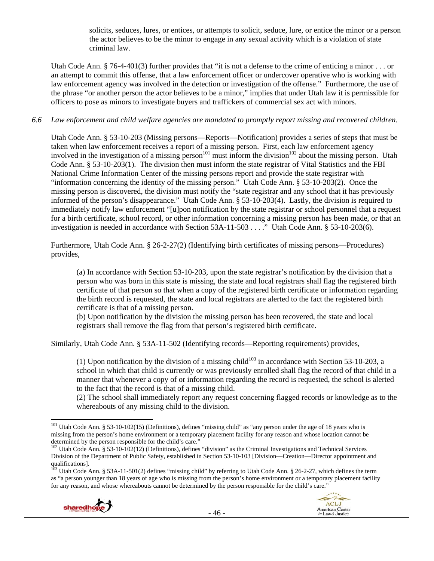solicits, seduces, lures, or entices, or attempts to solicit, seduce, lure, or entice the minor or a person the actor believes to be the minor to engage in any sexual activity which is a violation of state criminal law.

Utah Code Ann. § 76-4-401(3) further provides that "it is not a defense to the crime of enticing a minor . . . or an attempt to commit this offense, that a law enforcement officer or undercover operative who is working with law enforcement agency was involved in the detection or investigation of the offense." Furthermore, the use of the phrase "or another person the actor believes to be a minor," implies that under Utah law it is permissible for officers to pose as minors to investigate buyers and traffickers of commercial sex act with minors.

#### *6.6 Law enforcement and child welfare agencies are mandated to promptly report missing and recovered children.*

Utah Code Ann. § 53-10-203 (Missing persons—Reports—Notification) provides a series of steps that must be taken when law enforcement receives a report of a missing person. First, each law enforcement agency involved in the investigation of a missing person<sup>101</sup> must inform the division<sup>102</sup> about the missing person. Utah Code Ann. § 53-10-203(1). The division then must inform the state registrar of Vital Statistics and the FBI National Crime Information Center of the missing persons report and provide the state registrar with "information concerning the identity of the missing person." Utah Code Ann. § 53-10-203(2). Once the missing person is discovered, the division must notify the "state registrar and any school that it has previously informed of the person's disappearance." Utah Code Ann. § 53-10-203(4). Lastly, the division is required to immediately notify law enforcement "[u]pon notification by the state registrar or school personnel that a request for a birth certificate, school record, or other information concerning a missing person has been made, or that an investigation is needed in accordance with Section 53A-11-503 . . . ." Utah Code Ann. § 53-10-203(6).

Furthermore, Utah Code Ann. § 26-2-27(2) (Identifying birth certificates of missing persons—Procedures) provides,

(a) In accordance with Section 53-10-203, upon the state registrar's notification by the division that a person who was born in this state is missing, the state and local registrars shall flag the registered birth certificate of that person so that when a copy of the registered birth certificate or information regarding the birth record is requested, the state and local registrars are alerted to the fact the registered birth certificate is that of a missing person.

(b) Upon notification by the division the missing person has been recovered, the state and local registrars shall remove the flag from that person's registered birth certificate.

Similarly, Utah Code Ann. § 53A-11-502 (Identifying records—Reporting requirements) provides,

(1) Upon notification by the division of a missing child<sup>103</sup> in accordance with Section 53-10-203, a school in which that child is currently or was previously enrolled shall flag the record of that child in a manner that whenever a copy of or information regarding the record is requested, the school is alerted to the fact that the record is that of a missing child.

(2) The school shall immediately report any request concerning flagged records or knowledge as to the whereabouts of any missing child to the division.

 $103$  Utah Code Ann. § 53A-11-501(2) defines "missing child" by referring to Utah Code Ann. § 26-2-27, which defines the term as "a person younger than 18 years of age who is missing from the person's home environment or a temporary placement facility for any reason, and whose whereabouts cannot be determined by the person responsible for the child's care."





 $101$  Utah Code Ann. § 53-10-102(15) (Definitions), defines "missing child" as "any person under the age of 18 years who is missing from the person's home environment or a temporary placement facility for any reason and whose location cannot be determined by the person responsible for the child's care."<br><sup>102</sup> Utah Code Ann. § 53-10-102(12) (Definitions), defines "division" as the Criminal Investigations and Technical Services

Division of the Department of Public Safety, established in Section 53-10-103 [Division—Creation—Director appointment and qualifications].